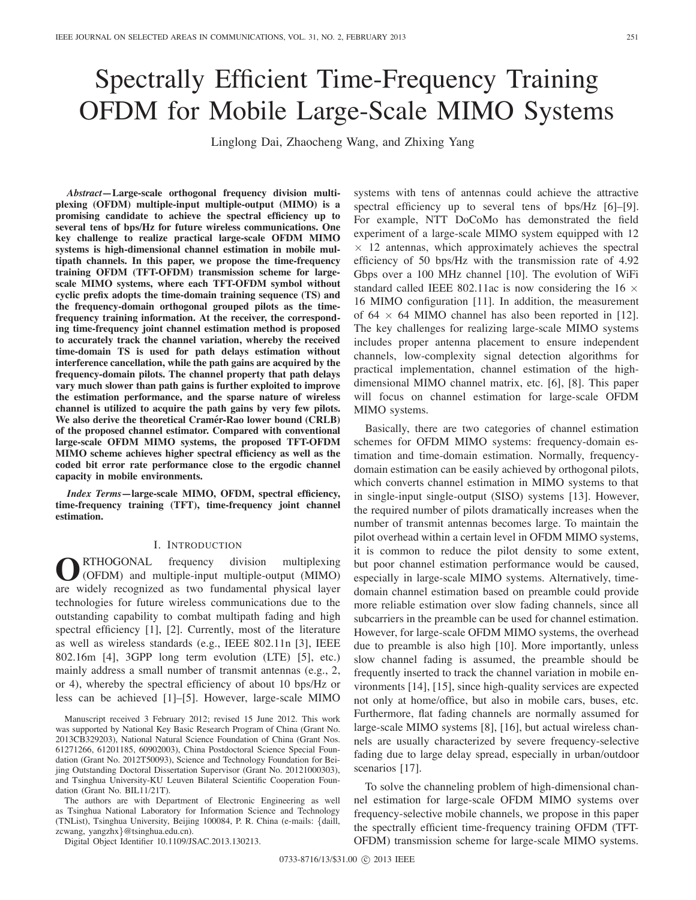# Spectrally Efficient Time-Frequency Training OFDM for Mobile Large-Scale MIMO Systems

Linglong Dai, Zhaocheng Wang, and Zhixing Yang

*Abstract***—Large-scale orthogonal frequency division multiplexing (OFDM) multiple-input multiple-output (MIMO) is a promising candidate to achieve the spectral efficiency up to several tens of bps/Hz for future wireless communications. One key challenge to realize practical large-scale OFDM MIMO systems is high-dimensional channel estimation in mobile multipath channels. In this paper, we propose the time-frequency training OFDM (TFT-OFDM) transmission scheme for largescale MIMO systems, where each TFT-OFDM symbol without cyclic prefix adopts the time-domain training sequence (TS) and the frequency-domain orthogonal grouped pilots as the timefrequency training information. At the receiver, the corresponding time-frequency joint channel estimation method is proposed to accurately track the channel variation, whereby the received time-domain TS is used for path delays estimation without interference cancellation, while the path gains are acquired by the frequency-domain pilots. The channel property that path delays vary much slower than path gains is further exploited to improve the estimation performance, and the sparse nature of wireless channel is utilized to acquire the path gains by very few pilots. We also derive the theoretical Cramer-Rao lower bound (CRLB) ´ of the proposed channel estimator. Compared with conventional large-scale OFDM MIMO systems, the proposed TFT-OFDM MIMO scheme achieves higher spectral efficiency as well as the coded bit error rate performance close to the ergodic channel capacity in mobile environments.**

*Index Terms***—large-scale MIMO, OFDM, spectral efficiency, time-frequency training (TFT), time-frequency joint channel estimation.**

# I. INTRODUCTION

**O**RTHOGONAL frequency division multiplexing<br>
(OFDM) and multiple-input multiple-output (MIMO) are widely recognized as two fundamental physical layer technologies for future wireless communications due to the outstanding capability to combat multipath fading and high spectral efficiency [1], [2]. Currently, most of the literature as well as wireless standards (e.g., IEEE 802.11n [3], IEEE 802.16m [4], 3GPP long term evolution (LTE) [5], etc.) mainly address a small number of transmit antennas (e.g., 2, or 4), whereby the spectral efficiency of about 10 bps/Hz or less can be achieved [1]–[5]. However, large-scale MIMO

Manuscript received 3 February 2012; revised 15 June 2012. This work was supported by National Key Basic Research Program of China (Grant No. 2013CB329203), National Natural Science Foundation of China (Grant Nos. 61271266, 61201185, 60902003), China Postdoctoral Science Special Foundation (Grant No. 2012T50093), Science and Technology Foundation for Beijing Outstanding Doctoral Dissertation Supervisor (Grant No. 20121000303), and Tsinghua University-KU Leuven Bilateral Scientific Cooperation Foundation (Grant No. BIL11/21T).

The authors are with Department of Electronic Engineering as well as Tsinghua National Laboratory for Information Science and Technology (TNList), Tsinghua University, Beijing 100084, P. R. China (e-mails: {daill, zcwang, yangzhx}@tsinghua.edu.cn).

Digital Object Identifier 10.1109/JSAC.2013.130213.

systems with tens of antennas could achieve the attractive spectral efficiency up to several tens of bps/Hz [6]–[9]. For example, NTT DoCoMo has demonstrated the field experiment of a large-scale MIMO system equipped with 12  $\times$  12 antennas, which approximately achieves the spectral efficiency of 50 bps/Hz with the transmission rate of 4.92 Gbps over a 100 MHz channel [10]. The evolution of WiFi standard called IEEE 802.11ac is now considering the 16  $\times$ 16 MIMO configuration [11]. In addition, the measurement of 64  $\times$  64 MIMO channel has also been reported in [12]. The key challenges for realizing large-scale MIMO systems includes proper antenna placement to ensure independent channels, low-complexity signal detection algorithms for practical implementation, channel estimation of the highdimensional MIMO channel matrix, etc. [6], [8]. This paper will focus on channel estimation for large-scale OFDM MIMO systems.

Basically, there are two categories of channel estimation schemes for OFDM MIMO systems: frequency-domain estimation and time-domain estimation. Normally, frequencydomain estimation can be easily achieved by orthogonal pilots, which converts channel estimation in MIMO systems to that in single-input single-output (SISO) systems [13]. However, the required number of pilots dramatically increases when the number of transmit antennas becomes large. To maintain the pilot overhead within a certain level in OFDM MIMO systems, it is common to reduce the pilot density to some extent, but poor channel estimation performance would be caused, especially in large-scale MIMO systems. Alternatively, timedomain channel estimation based on preamble could provide more reliable estimation over slow fading channels, since all subcarriers in the preamble can be used for channel estimation. However, for large-scale OFDM MIMO systems, the overhead due to preamble is also high [10]. More importantly, unless slow channel fading is assumed, the preamble should be frequently inserted to track the channel variation in mobile environments [14], [15], since high-quality services are expected not only at home/office, but also in mobile cars, buses, etc. Furthermore, flat fading channels are normally assumed for large-scale MIMO systems [8], [16], but actual wireless channels are usually characterized by severe frequency-selective fading due to large delay spread, especially in urban/outdoor scenarios [17].

To solve the channeling problem of high-dimensional channel estimation for large-scale OFDM MIMO systems over frequency-selective mobile channels, we propose in this paper the spectrally efficient time-frequency training OFDM (TFT-OFDM) transmission scheme for large-scale MIMO systems.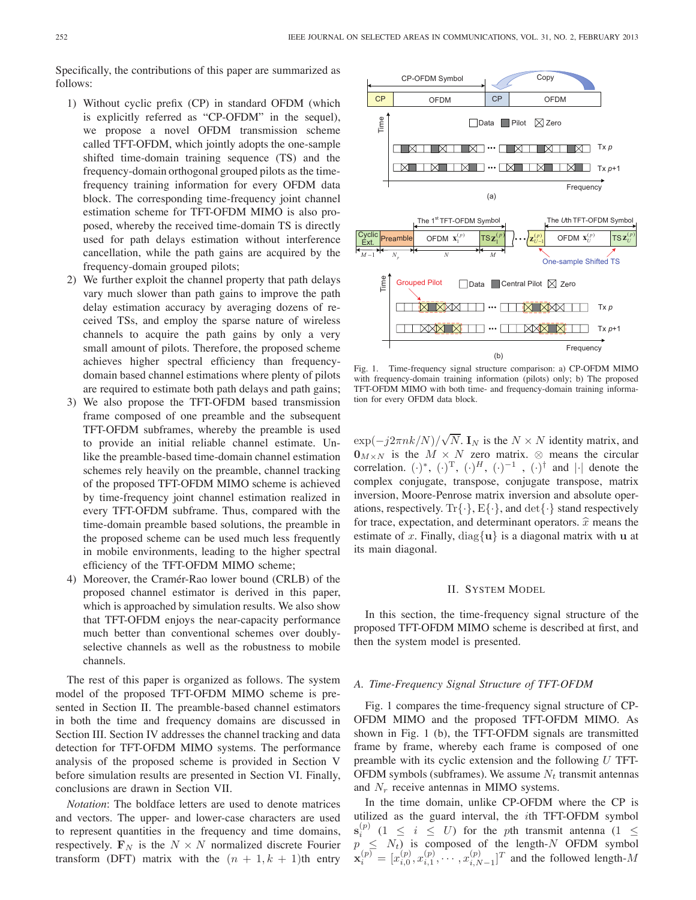Specifically, the contributions of this paper are summarized as follows:

- 1) Without cyclic prefix (CP) in standard OFDM (which is explicitly referred as "CP-OFDM" in the sequel), we propose a novel OFDM transmission scheme called TFT-OFDM, which jointly adopts the one-sample shifted time-domain training sequence (TS) and the frequency-domain orthogonal grouped pilots as the timefrequency training information for every OFDM data block. The corresponding time-frequency joint channel estimation scheme for TFT-OFDM MIMO is also proposed, whereby the received time-domain TS is directly used for path delays estimation without interference cancellation, while the path gains are acquired by the frequency-domain grouped pilots;
- 2) We further exploit the channel property that path delays vary much slower than path gains to improve the path delay estimation accuracy by averaging dozens of received TSs, and employ the sparse nature of wireless channels to acquire the path gains by only a very small amount of pilots. Therefore, the proposed scheme achieves higher spectral efficiency than frequencydomain based channel estimations where plenty of pilots are required to estimate both path delays and path gains;
- 3) We also propose the TFT-OFDM based transmission frame composed of one preamble and the subsequent TFT-OFDM subframes, whereby the preamble is used to provide an initial reliable channel estimate. Unlike the preamble-based time-domain channel estimation schemes rely heavily on the preamble, channel tracking of the proposed TFT-OFDM MIMO scheme is achieved by time-frequency joint channel estimation realized in every TFT-OFDM subframe. Thus, compared with the time-domain preamble based solutions, the preamble in the proposed scheme can be used much less frequently in mobile environments, leading to the higher spectral efficiency of the TFT-OFDM MIMO scheme;
- 4) Moreover, the Cramér-Rao lower bound (CRLB) of the proposed channel estimator is derived in this paper, which is approached by simulation results. We also show that TFT-OFDM enjoys the near-capacity performance much better than conventional schemes over doublyselective channels as well as the robustness to mobile channels.

The rest of this paper is organized as follows. The system model of the proposed TFT-OFDM MIMO scheme is presented in Section II. The preamble-based channel estimators in both the time and frequency domains are discussed in Section III. Section IV addresses the channel tracking and data detection for TFT-OFDM MIMO systems. The performance analysis of the proposed scheme is provided in Section V before simulation results are presented in Section VI. Finally, conclusions are drawn in Section VII.

*Notation*: The boldface letters are used to denote matrices and vectors. The upper- and lower-case characters are used to represent quantities in the frequency and time domains, respectively.  $\mathbf{F}_N$  is the  $N \times N$  normalized discrete Fourier transform (DFT) matrix with the  $(n + 1, k + 1)$ th entry



Fig. 1. Time-frequency signal structure comparison: a) CP-OFDM MIMO with frequency-domain training information (pilots) only; b) The proposed TFT-OFDM MIMO with both time- and frequency-domain training information for every OFDM data block.

 $\exp(-j2\pi n k/N)$  $\sqrt{N}$ . **I**<sub>N</sub> is the  $N \times N$  identity matrix, and  $\mathbf{0}_{M \times N}$  is the  $M \times N$  zero matrix. ⊗ means the circular correlation.  $(\cdot)^{*}$ ,  $(\cdot)^{T}$ ,  $(\cdot)^{H}$ ,  $(\cdot)^{-1}$ ,  $(\cdot)^{\dagger}$  and  $|\cdot|$  denote the complex conjugate, transpose, conjugate transpose, matrix inversion, Moore-Penrose matrix inversion and absolute operations, respectively.  $Tr{\{\cdot\}}$ ,  $E{\{\cdot\}}$ , and  $det{\{\cdot\}}$  stand respectively for trace, expectation, and determinant operators.  $\hat{x}$  means the estimate of x-Finally diagonal is a diagonal matrix with u at estimate of x. Finally, diag{**u**} is a diagonal matrix with **u** at its main diagonal.

# II. SYSTEM MODEL

In this section, the time-frequency signal structure of the proposed TFT-OFDM MIMO scheme is described at first, and then the system model is presented.

#### *A. Time-Frequency Signal Structure of TFT-OFDM*

Fig. 1 compares the time-frequency signal structure of CP-OFDM MIMO and the proposed TFT-OFDM MIMO. As shown in Fig. 1 (b), the TFT-OFDM signals are transmitted frame by frame, whereby each frame is composed of one preamble with its cyclic extension and the following  $U$  TFT-OFDM symbols (subframes). We assume  $N_t$  transmit antennas and  $N_r$  receive antennas in MIMO systems.

In the time domain, unlike CP-OFDM where the CP is utilized as the guard interval, the ith TFT-OFDM symbol  $\mathbf{s}_{i}^{(p)}$  $i \leq i \leq U$ ) for the pth transmit antenna  $(1 \leq i \leq N_i)$  is composed of the length N OEDM symbol  $p \le N_t$ ) is composed of the length-N OFDM symbol  $\mathbf{x}_i^{(p)} = [x_{i,0}^{(p)}, x_{i,1}^{(p)}, \cdots, x_{i,N-1}^{(p)}]^T$  and the followed length-M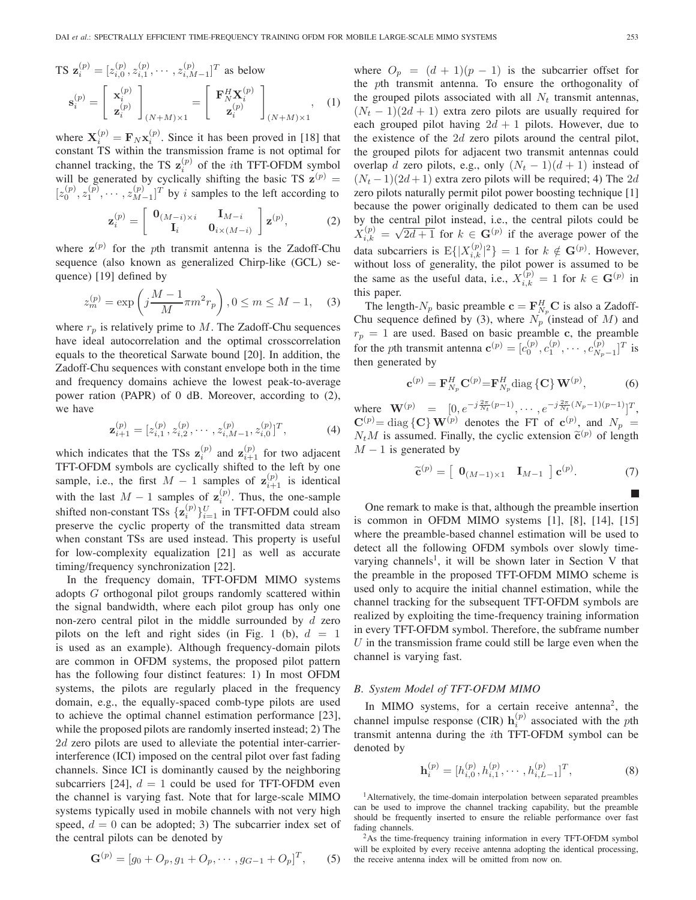$$
\mathbf{TS} \ \mathbf{z}_{i}^{(p)} = [z_{i,0}^{(p)}, z_{i,1}^{(p)}, \cdots, z_{i,M-1}^{(p)}]^T \text{ as below}
$$
\n
$$
\mathbf{s}_{i}^{(p)} = \begin{bmatrix} \mathbf{x}_{i}^{(p)} \\ \mathbf{z}_{i}^{(p)} \end{bmatrix}_{(N+M)\times 1} = \begin{bmatrix} \mathbf{F}_{N}^{H} \mathbf{X}_{i}^{(p)} \\ \mathbf{z}_{i}^{(p)} \end{bmatrix}_{(N+M)\times 1}, \quad (1)
$$

where  $X_i^{(p)} = F_N x_i^{(p)}$ . Since it has been proved in [18] that constant TS within the transmission frame is not ontimal for constant TS within the transmission frame is not optimal for channel tracking, the TS  $\mathbf{z}_i^{(p)}$  of the *i*th TFT-OFDM symbol<br>will be generated by cyclically shifting the basic TS  $\mathbf{z}^{(p)}$  – will be generated by cyclically shifting the basic TS  $z^{(p)}$  =  $[z_0^{(p)}, z_1^{(p)}, \cdots, z_{M-1}^{(p)}]^T$  by *i* samples to the left according to

$$
\mathbf{z}_{i}^{(p)} = \begin{bmatrix} \mathbf{0}_{(M-i)\times i} & \mathbf{I}_{M-i} \\ \mathbf{I}_{i} & \mathbf{0}_{i\times(M-i)} \end{bmatrix} \mathbf{z}^{(p)},
$$
(2)

where  $z^{(p)}$  for the pth transmit antenna is the Zadoff-Chu sequence (also known as generalized Chirp-like (GCL) sequence) [19] defined by

$$
z_m^{(p)} = \exp\left(j\frac{M-1}{M}\pi m^2 r_p\right), 0 \le m \le M - 1,\tag{3}
$$

where  $r_p$  is relatively prime to M. The Zadoff-Chu sequences have ideal autocorrelation and the optimal crosscorrelation equals to the theoretical Sarwate bound [20]. In addition, the Zadoff-Chu sequences with constant envelope both in the time and frequency domains achieve the lowest peak-to-average power ration (PAPR) of 0 dB. Moreover, according to (2), we have

$$
\mathbf{z}_{i+1}^{(p)} = [z_{i,1}^{(p)}, z_{i,2}^{(p)}, \cdots, z_{i,M-1}^{(p)}, z_{i,0}^{(p)}]^T, \tag{4}
$$

which indicates that the TSs  $z_i^{(p)}$  and  $z_{i+1}^{(p)}$ <br> **TELOEDM** symbols are evolvedly shifted which indicates that the TSs  $z_i^{(p)}$  and  $z_{i+1}^{(p)}$  for two adjacent TFT-OFDM symbols are cyclically shifted to the left by one sample, i.e., the first  $M - 1$  samples of  $\mathbf{z}_{i+1}^{(p)}$  is identical with the last  $M - 1$  samples of  $\mathbf{z}_i^{(p)}$ . Thus, the one-sample<br>chifted non-constant  $\text{TS}_c$   $\left[\mathbf{z}_i^{(p)}\right]$  is TET OFDM could also shifted non-constant TSs  $\{z_i^{(p)}\}_{i=1}^U$  in TFT-OFDM could also<br>preserve the evolic property of the transmitted data stream preserve the cyclic property of the transmitted data stream when constant TSs are used instead. This property is useful for low-complexity equalization [21] as well as accurate timing/frequency synchronization [22].

In the frequency domain, TFT-OFDM MIMO systems adopts G orthogonal pilot groups randomly scattered within the signal bandwidth, where each pilot group has only one non-zero central pilot in the middle surrounded by  $d$  zero pilots on the left and right sides (in Fig. 1 (b),  $d = 1$ is used as an example). Although frequency-domain pilots are common in OFDM systems, the proposed pilot pattern has the following four distinct features: 1) In most OFDM systems, the pilots are regularly placed in the frequency domain, e.g., the equally-spaced comb-type pilots are used to achieve the optimal channel estimation performance [23], while the proposed pilots are randomly inserted instead; 2) The 2d zero pilots are used to alleviate the potential inter-carrierinterference (ICI) imposed on the central pilot over fast fading channels. Since ICI is dominantly caused by the neighboring subcarriers [24],  $d = 1$  could be used for TFT-OFDM even the channel is varying fast. Note that for large-scale MIMO systems typically used in mobile channels with not very high speed,  $d = 0$  can be adopted; 3) The subcarrier index set of the central pilots can be denoted by

$$
\mathbf{G}^{(p)} = [g_0 + O_p, g_1 + O_p, \cdots, g_{G-1} + O_p]^T, \quad (5)
$$

where  $O_p = (d + 1)(p - 1)$  is the subcarrier offset for the pth transmit antenna. To ensure the orthogonality of the grouped pilots associated with all  $N_t$  transmit antennas,  $(N_t - 1)(2d + 1)$  extra zero pilots are usually required for each grouped pilot having  $2d + 1$  pilots. However, due to the existence of the  $2d$  zero pilots around the central pilot, the grouped pilots for adjacent two transmit antennas could overlap d zero pilots, e.g., only  $(N_t - 1)(d + 1)$  instead of  $(N_t-1)(2d+1)$  extra zero pilots will be required; 4) The 2d zero pilots naturally permit pilot power boosting technique [1] because the power originally dedicated to them can be used by the central pilot instead, i.e., the central pilots could be  $X_{ik}^{(p)} = \sqrt{2d+1}$  for  $k \in \mathbf{G}^{(p)}$  if the average power of the data subcarriers is  $E\{ |X_{i,k}^{(p)}|^2 \} = 1$  for  $k \notin G^{(p)}$ . However, without loss of generality the pilot power is assumed to be without loss of generality, the pilot power is assumed to be the same as the useful data, i.e.,  $X_{i,k}^{(p)} = 1$  for  $k \in \mathbf{G}^{(p)}$  in this paper this paper.

The length- $N_p$  basic preamble  $\mathbf{c} = \mathbf{F}_{N_p}^H \mathbf{C}$  is also a Zadoff-<br>in sequence defined by (3), where  $N_p$  (instead of M) and Chu sequence defined by (3), where  $N_p$  (instead of M) and<br> $p = 1$  are used. Based on basis programble a the programble  $r_p = 1$  are used. Based on basic preamble **c**, the preamble for the *p*th transmit antenna  $\mathbf{c}^{(p)} = [c_0^{(p)}, c_1^{(p)}, \cdots, c_{N_p-1}^{(p)}]^T$  is then generated by then generated by

$$
\mathbf{c}^{(p)} = \mathbf{F}_{N_p}^H \mathbf{C}^{(p)} = \mathbf{F}_{N_p}^H \text{diag} \left\{ \mathbf{C} \right\} \mathbf{W}^{(p)}, \tag{6}
$$

where  $\mathbf{W}^{(p)} = [0, e^{-j\frac{2\pi}{N_t}(p-1)}, \cdots, e^{-j\frac{2\pi}{N_t}(N_p-1)(p-1)}]^T$ ,  $\mathbf{C}^{(p)} = \text{diag} \{ \mathbf{C} \} \mathbf{W}^{(p)}$  denotes the FT of  $\mathbf{c}^{(p)}$ , and  $N_p = N M$  is assumed Finally, the quality extension  $\tilde{\mathbf{z}}^{(p)}$  of langth  $N_t M$  is assumed. Finally, the cyclic extension  $\tilde{\mathbf{c}}^{(p)}$  of length  $M - 1$  is generated by

$$
\widetilde{\mathbf{c}}^{(p)} = \left[ \begin{array}{cc} \mathbf{0}_{(M-1)\times 1} & \mathbf{I}_{M-1} \end{array} \right] \mathbf{c}^{(p)}.
$$
 (7)

One remark to make is that, although the preamble insertion is common in OFDM MIMO systems [1], [8], [14], [15] where the preamble-based channel estimation will be used to detect all the following OFDM symbols over slowly timevarying channels<sup>1</sup>, it will be shown later in Section V that the preamble in the proposed TFT-OFDM MIMO scheme is used only to acquire the initial channel estimation, while the channel tracking for the subsequent TFT-OFDM symbols are realized by exploiting the time-frequency training information in every TFT-OFDM symbol. Therefore, the subframe number  $U$  in the transmission frame could still be large even when the channel is varying fast.

#### *B. System Model of TFT-OFDM MIMO*

In MIMO systems, for a certain receive antenna<sup>2</sup>, the channel impulse response (CIR)  $h_{p}^{(p)}$  associated with the *pth*<br>transmit antenna during the *i*<sup>th</sup> TELOEDM symbol can be transmit antenna during the ith TFT-OFDM symbol can be denoted by

$$
\mathbf{h}_i^{(p)} = [h_{i,0}^{(p)}, h_{i,1}^{(p)}, \cdots, h_{i,L-1}^{(p)}]^T, \tag{8}
$$

<sup>1</sup>Alternatively, the time-domain interpolation between separated preambles can be used to improve the channel tracking capability, but the preamble should be frequently inserted to ensure the reliable performance over fast fading channels.

<sup>2</sup>As the time-frequency training information in every TFT-OFDM symbol will be exploited by every receive antenna adopting the identical processing, the receive antenna index will be omitted from now on.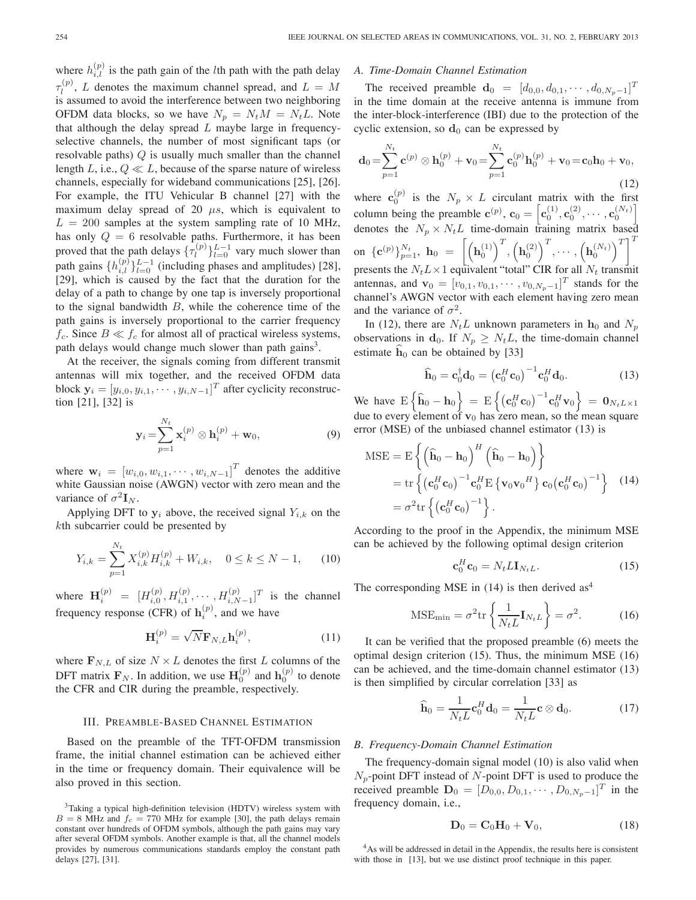where  $h_{i,l}^{(p)}$  is the path gain of the *l*th path with the path delay  $\tau_l^{(p)}$ , L denotes the maximum channel spread, and  $L = M$ <br>is assumed to avoid the interference between two neighboring is assumed to avoid the interference between two neighboring OFDM data blocks, so we have  $N_p = N_t M = N_t L$ . Note that although the delay spread  $L$  maybe large in frequencyselective channels, the number of most significant taps (or resolvable paths)  $Q$  is usually much smaller than the channel length L, i.e.,  $Q \ll L$ , because of the sparse nature of wireless channels, especially for wideband communications [25], [26]. For example, the ITU Vehicular B channel [27] with the maximum delay spread of 20  $\mu s$ , which is equivalent to  $L = 200$  samples at the system sampling rate of 10 MHz, has only  $Q = 6$  resolvable paths. Furthermore, it has been proved that the path delays  $\{\tau_l^{(p)}\}_{l=0}^{L-1}$  vary much slower than<br>path gains  $\{\mu_l^{(p)}\}_{l=0}^{L-1}$  (including phases and applitudes) [28] path gains  $\{h_{i,l}^{(p)}\}_{l=0}^{L-1}$  (including phases and amplitudes) [28],<br>[29] which is caused by the fact that the duration for the [29], which is caused by the fact that the duration for the delay of a path to change by one tap is inversely proportional to the signal bandwidth  $B$ , while the coherence time of the path gains is inversely proportional to the carrier frequency  $f_c$ . Since  $B \ll f_c$  for almost all of practical wireless systems, path delays would change much slower than path gains<sup>3</sup>.

At the receiver, the signals coming from different transmit antennas will mix together, and the received OFDM data block  $\mathbf{y}_i = [y_{i,0}, y_{i,1}, \cdots, y_{i,N-1}]^T$  after cyclicity reconstruction [21] [22] is tion [21], [32] is

$$
\mathbf{y}_i = \sum_{p=1}^{N_t} \mathbf{x}_i^{(p)} \otimes \mathbf{h}_i^{(p)} + \mathbf{w}_0,
$$
 (9)

where  $\mathbf{w}_i = [w_{i,0}, w_{i,1}, \cdots, w_{i,N-1}]^T$  denotes the additive<br>white Gaussian poise (AWGN) vector with zero mean and the white Gaussian noise (AWGN) vector with zero mean and the variance of  $\sigma^2 \mathbf{I}_N$ .

Applying DFT to  $y_i$  above, the received signal  $Y_{i,k}$  on the kth subcarrier could be presented by

$$
Y_{i,k} = \sum_{p=1}^{N_t} X_{i,k}^{(p)} H_{i,k}^{(p)} + W_{i,k}, \quad 0 \le k \le N - 1,\qquad(10)
$$

where  $\mathbf{H}_{i}^{(p)} = [H_{i,0}^{(p)}, H_{i,1}^{(p)}, \cdots, H_{i,N-1}^{(p)}]^T$  is the channel frequency response (CFR) of  $\mathbf{h}_i^{(p)}$ , and we have

$$
\mathbf{H}_i^{(p)} = \sqrt{N} \mathbf{F}_{N,L} \mathbf{h}_i^{(p)},\tag{11}
$$

where  $\mathbf{F}_{N,L}$  of size  $N \times L$  denotes the first L columns of the DFT matrix  $\mathbf{F}_N$ . In addition, we use  $\mathbf{H}_0^{(p)}$  and  $\mathbf{h}_0^{(p)}$  to denote the CFR and CIR during the preamble, respectively.

#### III. PREAMBLE-BASED CHANNEL ESTIMATION

Based on the preamble of the TFT-OFDM transmission frame, the initial channel estimation can be achieved either in the time or frequency domain. Their equivalence will be also proved in this section.

#### *A. Time-Domain Channel Estimation*

The received preamble  $\mathbf{d}_0 = [d_{0,0}, d_{0,1}, \cdots, d_{0,N_p-1}]^T$ <br>the time domain at the receive ortenne is immune from in the time domain at the receive antenna is immune from the inter-block-interference (IBI) due to the protection of the cyclic extension, so  $\mathbf{d}_0$  can be expressed by

$$
\mathbf{d}_0 = \sum_{p=1}^{N_t} \mathbf{c}^{(p)} \otimes \mathbf{h}_0^{(p)} + \mathbf{v}_0 = \sum_{p=1}^{N_t} \mathbf{c}_0^{(p)} \mathbf{h}_0^{(p)} + \mathbf{v}_0 = \mathbf{c}_0 \mathbf{h}_0 + \mathbf{v}_0,
$$
\n(12)

where  $\mathbf{c}_0^{(p)}$  is the  $N_p \times L$  circulant matrix with the first column being the preamble  $\mathbf{c}^{(p)}$ ,  $\mathbf{c}_0 = \left[ \mathbf{c}_0^{(1)}, \mathbf{c}_0^{(2)}, \cdots, \mathbf{c}_0^{(N_t)} \right]$ denotes the  $N_p \times N_t L$  time-domain training matrix based on  $\{{\bf c}^{(p)}\}_{p=1}^{N_t}$ ,  ${\bf h}_0 = \left[{\left({\bf h}_0^{(1)}\right)^T}, {\left({\bf h}_0^{(2)}\right)^T}, \cdots, {\left({\bf h}_0^{(N_t)}\right)^T}\right]^T$ presents the  $N_t L \times 1$  equivalent "total" CIR for all  $N_t$  transmit antennas, and  $\mathbf{v}_0 = [v_{0,1}, v_{0,1}, \cdots, v_{0,N_p-1}]^T$  stands for the channal's AWGN vector with each element beying zero mean channel's AWGN vector with each element having zero mean and the variance of  $\sigma^2$ .

In (12), there are  $N_t L$  unknown parameters in  $h_0$  and  $N_p$ observations in **d**<sub>0</sub>. If  $N_p \geq N_t L$ , the time-domain channel estimate  $\hat{h}_0$  can be obtained by [33]

$$
\widehat{\mathbf{h}}_0 = \mathbf{c}_0^{\dagger} \mathbf{d}_0 = \left( \mathbf{c}_0^H \mathbf{c}_0 \right)^{-1} \mathbf{c}_0^H \mathbf{d}_0. \tag{13}
$$

We have  $E\left\{\widehat{\mathbf{h}}_0 - \mathbf{h}_0\right\} = E\left\{\left(\mathbf{c}_0^H \mathbf{c}_0\right)^{-1} \mathbf{c}_0^H \mathbf{v}_0\right\} = \mathbf{0}_{N_t L \times 1}$ due to every element of  $v_0$  has zero mean, so the mean square error (MSE) of the unbiased channel estimator (13) is

$$
MSE = E \left\{ \left( \hat{\mathbf{h}}_0 - \mathbf{h}_0 \right)^H \left( \hat{\mathbf{h}}_0 - \mathbf{h}_0 \right) \right\}
$$
  
= tr \left\{ \left( \mathbf{c}\_0^H \mathbf{c}\_0 \right)^{-1} \mathbf{c}\_0^H E \left\{ \mathbf{v}\_0 \mathbf{v}\_0^H \right\} \mathbf{c}\_0 \left( \mathbf{c}\_0^H \mathbf{c}\_0 \right)^{-1} \right\} (14)  
= \sigma^2 \text{tr} \left\{ \left( \mathbf{c}\_0^H \mathbf{c}\_0 \right)^{-1} \right\}.

According to the proof in the Appendix, the minimum MSE can be achieved by the following optimal design criterion

$$
\mathbf{c}_0^H \mathbf{c}_0 = N_t L \mathbf{I}_{N_t L}.
$$
 (15)

The corresponding MSE in  $(14)$  is then derived as<sup>4</sup>

$$
\text{MSE}_{\text{min}} = \sigma^2 \text{tr}\left\{ \frac{1}{N_t L} \mathbf{I}_{N_t L} \right\} = \sigma^2. \tag{16}
$$

It can be verified that the proposed preamble (6) meets the optimal design criterion (15). Thus, the minimum MSE (16) can be achieved, and the time-domain channel estimator (13) is then simplified by circular correlation [33] as

$$
\widehat{\mathbf{h}}_0 = \frac{1}{N_t L} \mathbf{c}_0^H \mathbf{d}_0 = \frac{1}{N_t L} \mathbf{c} \otimes \mathbf{d}_0.
$$
 (17)

#### *B. Frequency-Domain Channel Estimation*

The frequency-domain signal model (10) is also valid when  $N_p$ -point DFT instead of N-point DFT is used to produce the received preamble  $\mathbf{D}_0 = [D_{0,0}, D_{0,1}, \cdots, D_{0,N_p-1}]^T$  in the frequency domain, i.e.,

$$
\mathbf{D}_0 = \mathbf{C}_0 \mathbf{H}_0 + \mathbf{V}_0, \tag{18}
$$

<sup>3</sup>Taking a typical high-definition television (HDTV) wireless system with  $B = 8$  MHz and  $f_c = 770$  MHz for example [30], the path delays remain constant over hundreds of OFDM symbols, although the path gains may vary after several OFDM symbols. Another example is that, all the channel models provides by numerous communications standards employ the constant path delays [27], [31].

<sup>4</sup>As will be addressed in detail in the Appendix, the results here is consistent with those in [13], but we use distinct proof technique in this paper.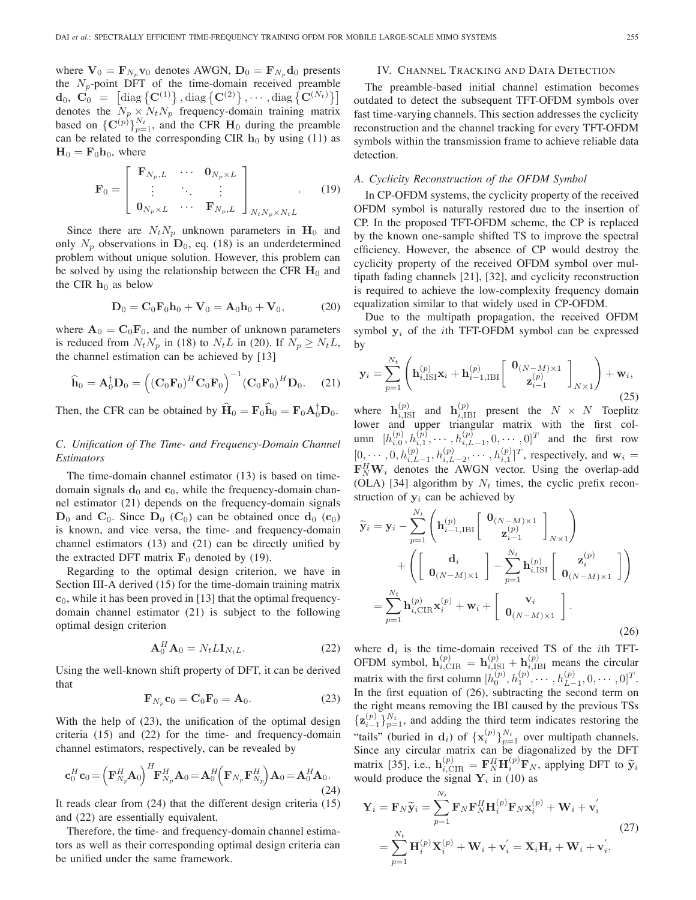where  $V_0 = \mathbf{F}_{N_p} \mathbf{v}_0$  denotes AWGN,  $\mathbf{D}_0 = \mathbf{F}_{N_p} \mathbf{d}_0$  presents the  $N_p$ -point DFT of the time-domain received preamble  $\mathbf{d}_0, \ \ \mathbf{C}_0 \ = \ \left[\text{diag}\left\{\mathbf{C}^{(1)}\right\}, \text{diag}\left\{\mathbf{C}^{(2)}\right\}, \cdots, \text{diag}\left\{\mathbf{C}^{(N_t)}\right\}\right]$ denotes the  $N_p \times N_t N_p$  frequency-domain training matrix based on  $\{C^{(p)}\}_{p=1}^{N_t}$ , and the CFR  $H_0$  during the preamble<br>can be related to the corresponding CIR h<sub>0</sub> by using (11) as can be related to the corresponding CIR  $h_0$  by using (11) as  $H_0 = F_0 h_0$ , where

$$
\mathbf{F}_0 = \begin{bmatrix} \mathbf{F}_{N_p, L} & \cdots & \mathbf{0}_{N_p \times L} \\ \vdots & \ddots & \vdots \\ \mathbf{0}_{N_p \times L} & \cdots & \mathbf{F}_{N_p, L} \end{bmatrix}_{N_t N_p \times N_t L} .
$$
 (19)

Since there are  $N_tN_p$  unknown parameters in  $H_0$  and only  $N_p$  observations in  $D_0$ , eq. (18) is an underdetermined problem without unique solution. However, this problem can be solved by using the relationship between the CFR  $\mathbf{H}_0$  and the CIR  $h_0$  as below

$$
\mathbf{D}_0 = \mathbf{C}_0 \mathbf{F}_0 \mathbf{h}_0 + \mathbf{V}_0 = \mathbf{A}_0 \mathbf{h}_0 + \mathbf{V}_0, \tag{20}
$$

where  $\mathbf{A}_0 = \mathbf{C}_0 \mathbf{F}_0$ , and the number of unknown parameters is reduced from  $N_tN_p$  in (18) to  $N_tL$  in (20). If  $N_p \geq N_tL$ , the channel estimation can be achieved by [13]

$$
\widehat{\mathbf{h}}_0 = \mathbf{A}_0^{\dagger} \mathbf{D}_0 = \left( (\mathbf{C}_0 \mathbf{F}_0)^H \mathbf{C}_0 \mathbf{F}_0 \right)^{-1} (\mathbf{C}_0 \mathbf{F}_0)^H \mathbf{D}_0.
$$
 (21)

Then, the CFR can be obtained by  $\hat{H}_0 = \mathbf{F}_0 \hat{h}_0 = \mathbf{F}_0 \mathbf{A}_0^{\dagger} \mathbf{D}_0$ .

# *C. Unification of The Time- and Frequency-Domain Channel Estimators*

The time-domain channel estimator (13) is based on timedomain signals  $\mathbf{d}_0$  and  $\mathbf{c}_0$ , while the frequency-domain channel estimator (21) depends on the frequency-domain signals  $D_0$  and  $C_0$ . Since  $D_0$  ( $C_0$ ) can be obtained once  $d_0$  ( $c_0$ ) is known, and vice versa, the time- and frequency-domain channel estimators (13) and (21) can be directly unified by the extracted DFT matrix  $\mathbf{F}_0$  denoted by (19).

Regarding to the optimal design criterion, we have in Section III-A derived (15) for the time-domain training matrix  $c_0$ , while it has been proved in [13] that the optimal frequencydomain channel estimator (21) is subject to the following optimal design criterion

$$
\mathbf{A}_0^H \mathbf{A}_0 = N_t L \mathbf{I}_{N_t L}.
$$
 (22)

Using the well-known shift property of DFT, it can be derived that

$$
\mathbf{F}_{N_p}\mathbf{c}_0 = \mathbf{C}_0\mathbf{F}_0 = \mathbf{A}_0. \tag{23}
$$

With the help of (23), the unification of the optimal design criteria (15) and (22) for the time- and frequency-domain channel estimators, respectively, can be revealed by

$$
\mathbf{c}_0^H \mathbf{c}_0 = \left(\mathbf{F}_{N_p}^H \mathbf{A}_0\right)^H \mathbf{F}_{N_p}^H \mathbf{A}_0 = \mathbf{A}_0^H \left(\mathbf{F}_{N_p} \mathbf{F}_{N_p}^H\right) \mathbf{A}_0 = \mathbf{A}_0^H \mathbf{A}_0. \tag{24}
$$

It reads clear from (24) that the different design criteria (15) and (22) are essentially equivalent.

Therefore, the time- and frequency-domain channel estimators as well as their corresponding optimal design criteria can be unified under the same framework.

# IV. CHANNEL TRACKING AND DATA DETECTION

The preamble-based initial channel estimation becomes outdated to detect the subsequent TFT-OFDM symbols over fast time-varying channels. This section addresses the cyclicity reconstruction and the channel tracking for every TFT-OFDM symbols within the transmission frame to achieve reliable data detection.

#### *A. Cyclicity Reconstruction of the OFDM Symbol*

In CP-OFDM systems, the cyclicity property of the received OFDM symbol is naturally restored due to the insertion of CP. In the proposed TFT-OFDM scheme, the CP is replaced by the known one-sample shifted TS to improve the spectral efficiency. However, the absence of CP would destroy the cyclicity property of the received OFDM symbol over multipath fading channels [21], [32], and cyclicity reconstruction is required to achieve the low-complexity frequency domain equalization similar to that widely used in CP-OFDM.

Due to the multipath propagation, the received OFDM symbol  $y_i$  of the *i*th TFT-OFDM symbol can be expressed by

$$
\mathbf{y}_{i} = \sum_{p=1}^{N_{t}} \left( \mathbf{h}_{i, \text{ISI}}^{(p)} \mathbf{x}_{i} + \mathbf{h}_{i-1, \text{IBI}}^{(p)} \left[ \begin{array}{c} \mathbf{0}_{(N-M) \times 1} \\ \mathbf{z}_{i-1}^{(p)} \end{array} \right]_{N \times 1} \right) + \mathbf{w}_{i},\tag{25}
$$

where  $\mathbf{h}_{i,ISI}^{(p)}$  and  $\mathbf{h}_{i,IBI}^{(p)}$  present the  $N \times N$  Toeplitz<br>lower and upper triangular matrix with the first collower and upper triangular matrix with the first column  $[h_{i,j}^{(p)}, h_{i,1}^{(p)}, \cdots, h_{i,L-1}^{(p)}, 0, \cdots, 0]^T$  and the first row  $[0, \dots, 0, h_{i,L-1}^{(p)}, h_{i,L-2}^{(p)}, \dots, h_{i,L}^{(p)}]^T$ , respectively, and  $\mathbf{w}_i = \mathbf{F}^H \mathbf{W}$ , denotes the AWGN vector. Using the overlap add  $\mathbf{F}_N^H \mathbf{W}_i$  denotes the AWGN vector. Using the overlap-add  $(N_{\text{A}})$  [34] algorithm by N<sub>r</sub> times, the cyclic prefix recon-(OLA) [34] algorithm by  $N_t$  times, the cyclic prefix reconstruction of  $y_i$  can be achieved by

$$
\widetilde{\mathbf{y}}_{i} = \mathbf{y}_{i} - \sum_{p=1}^{N_{t}} \left( \mathbf{h}_{i-1,\mathrm{IBI}}^{(p)} \begin{bmatrix} \mathbf{0}_{(N-M)\times 1} \\ \mathbf{z}_{i-1}^{(p)} \end{bmatrix}_{N\times 1} \right) + \left( \begin{bmatrix} \mathbf{d}_{i} \\ \mathbf{0}_{(N-M)\times 1} \end{bmatrix} - \sum_{p=1}^{N_{t}} \mathbf{h}_{i,\mathrm{ISI}}^{(p)} \begin{bmatrix} \mathbf{z}_{i}^{(p)} \\ \mathbf{0}_{(N-M)\times 1} \end{bmatrix} \right)
$$

$$
= \sum_{p=1}^{N_{t}} \mathbf{h}_{i,\mathrm{CIR}}^{(p)} \mathbf{x}_{i}^{(p)} + \mathbf{w}_{i} + \begin{bmatrix} \mathbf{v}_{i} \\ \mathbf{0}_{(N-M)\times 1} \end{bmatrix} .
$$
\n(26)

where  $\mathbf{d}_i$  is the time-domain received TS of the *i*th TFT-OFDM symbol,  $\mathbf{h}_{i,\text{CIR}}^{(p)} = \mathbf{h}_{i,\text{ISI}}^{(p)} + \mathbf{h}_{i,\text{IBI}}^{(p)}$  means the circular matrix with the first column  $[h_0^{(p)}, h_1^{(p)}, \dots, h_{L-1}^{(p)}, 0, \dots, 0]^T$ .<br>In the first couation of (26) subtracting the second term on In the first equation of (26), subtracting the second term on the right means removing the IBI caused by the previous TSs  $\{z_{i-1}^{(p)}\}_{p=1}^{N_t}$ , and adding the third term indicates restoring the "tails" (buried in **d**<sub>i</sub>) of  $\{x_i^{(p)}\}_{p=1}^{N_t}$  over multipath channels.<br>Since any circular matrix can be diagonalized by the DET Since any circular matrix can be diagonalized by the DFT matrix [35], i.e.,  $\mathbf{h}_{i, \text{CIR}}^{(p)} = \mathbf{F}_{N}^{H} \mathbf{H}_{i}^{(p)} \mathbf{F}_{N}$ , applying DFT to  $\tilde{\mathbf{y}}_{i}$ <br>would produce the signal  $\mathbf{Y}_{i}$  in (10) as would produce the signal  $\overline{Y}_i$  in (10) as

$$
\mathbf{Y}_{i} = \mathbf{F}_{N}\widetilde{\mathbf{y}}_{i} = \sum_{p=1}^{N_{t}} \mathbf{F}_{N} \mathbf{F}_{N}^{H} \mathbf{H}_{i}^{(p)} \mathbf{F}_{N} \mathbf{x}_{i}^{(p)} + \mathbf{W}_{i} + \mathbf{v}_{i}'
$$
\n
$$
= \sum_{p=1}^{N_{t}} \mathbf{H}_{i}^{(p)} \mathbf{X}_{i}^{(p)} + \mathbf{W}_{i} + \mathbf{v}_{i}' = \mathbf{X}_{i} \mathbf{H}_{i} + \mathbf{W}_{i} + \mathbf{v}_{i}',
$$
\n(27)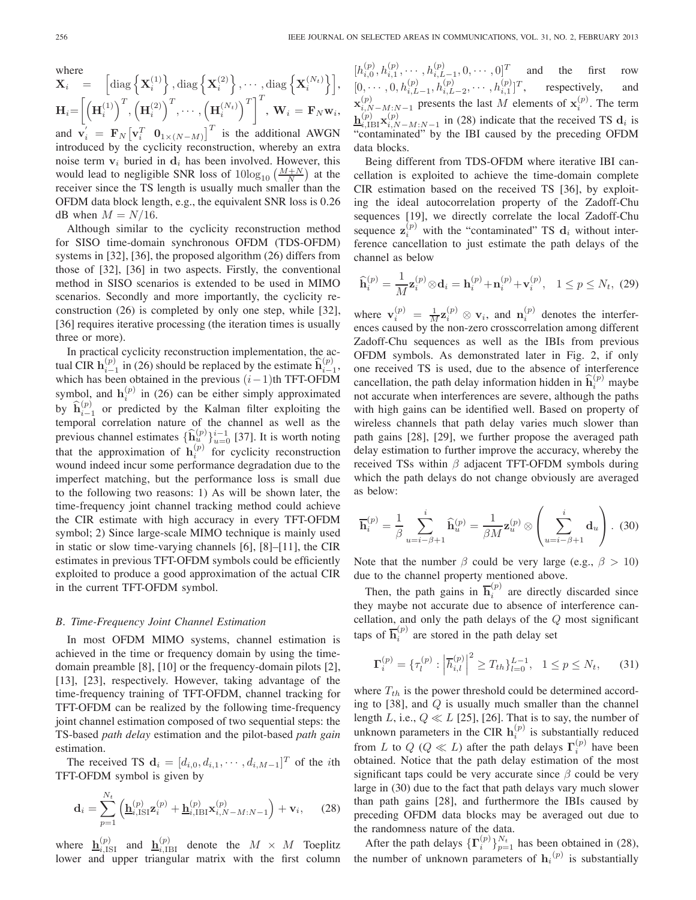where  
\n
$$
\mathbf{X}_{i} = \begin{bmatrix} \text{diag} \left\{ \mathbf{X}_{i}^{(1)} \right\}, \text{diag} \left\{ \mathbf{X}_{i}^{(2)} \right\}, \cdots, \text{diag} \left\{ \mathbf{X}_{i}^{(N_{t})} \right\} \end{bmatrix},
$$
\n
$$
\mathbf{H}_{i} = \left[ \left( \mathbf{H}_{i}^{(1)} \right)^{T}, \left( \mathbf{H}_{i}^{(2)} \right)^{T}, \cdots, \left( \mathbf{H}_{i}^{(N_{t})} \right)^{T} \right]^{T}, \mathbf{W}_{i} = \mathbf{F}_{N} \mathbf{w}_{i},
$$
\nand 
$$
\mathbf{y}_{i}^{'} = \mathbf{F}_{N} \left[ \mathbf{v}_{i}^{T} \quad \mathbf{0}_{1 \times (N_{t} - N_{t})} \right]^{T} \text{ is the additional AWGN}
$$

and  $\mathbf{v}'_i = \mathbf{F}_N [\mathbf{v}_i^T \ \mathbf{0}_{1 \times (N-M)}]^T$  is the additional AWGN<br>introduced by the evolucity reconstruction, whereby an extra introduced by the cyclicity reconstruction, whereby an extra noise term  $v_i$  buried in  $d_i$  has been involved. However, this would lead to negligible SNR loss of  $10\log_{10}\left(\frac{M+N}{N}\right)$  at the receiver since the TS length is usually much smaller than the OFDM data block length, e.g., the equivalent SNR loss is 0.26 dB when  $M = N/16$ .

Although similar to the cyclicity reconstruction method for SISO time-domain synchronous OFDM (TDS-OFDM) systems in [32], [36], the proposed algorithm (26) differs from those of [32], [36] in two aspects. Firstly, the conventional method in SISO scenarios is extended to be used in MIMO scenarios. Secondly and more importantly, the cyclicity reconstruction (26) is completed by only one step, while [32], [36] requires iterative processing (the iteration times is usually three or more).

In practical cyclicity reconstruction implementation, the actual CIR  $\mathbf{h}_{i-1}^{(p)}$  in (26) should be replaced by the estimate  $\mathbf{\hat{h}}_{i-1}^{(p)}$ , which has been obtained in the previous  $(i-1)$ <sup>th</sup> TFLOFDM which has been obtained in the previous  $(i-1)$ th TFT-OFDM symbol, and  $h_i^{(p)}$  in (26) can be either simply approximated<br>by  $\hat{h}_{i}^{(p)}$  or prodicted by the Kelman filter evoluting the by  $\hat{\mathbf{h}}_{i-1}^{(p)}$  or predicted by the Kalman filter exploiting the termoral correlation nature of the channel as well as the temporal correlation nature of the channel as well as the previous channel estimates  $\{\widehat{\mathbf{h}}_u^{(p)}\}_{u=0}^{i-1}$  [37]. It is worth noting<br>that the approximation of  $\mathbf{h}_i^{(p)}$  for cyclicity reconstruction<br>wound indeed incur some performance degradation due to the wound indeed incur some performance degradation due to the imperfect matching, but the performance loss is small due to the following two reasons: 1) As will be shown later, the time-frequency joint channel tracking method could achieve the CIR estimate with high accuracy in every TFT-OFDM symbol; 2) Since large-scale MIMO technique is mainly used in static or slow time-varying channels [6], [8]–[11], the CIR estimates in previous TFT-OFDM symbols could be efficiently exploited to produce a good approximation of the actual CIR in the current TFT-OFDM symbol.

#### *B. Time-Frequency Joint Channel Estimation*

In most OFDM MIMO systems, channel estimation is achieved in the time or frequency domain by using the timedomain preamble [8], [10] or the frequency-domain pilots [2], [13], [23], respectively. However, taking advantage of the time-frequency training of TFT-OFDM, channel tracking for TFT-OFDM can be realized by the following time-frequency joint channel estimation composed of two sequential steps: the TS-based *path delay* estimation and the pilot-based *path gain* estimation.

The received TS  $\mathbf{d}_i = [d_{i,0}, d_{i,1}, \cdots, d_{i,M-1}]^T$  of the *i*th  $T$  OEDM symbol is given by TFT-OFDM symbol is given by

$$
\mathbf{d}_{i} = \sum_{p=1}^{N_{t}} \left( \underline{\mathbf{h}}_{i,\mathrm{ISI}}^{(p)} \mathbf{z}_{i}^{(p)} + \underline{\mathbf{h}}_{i,\mathrm{IBI}}^{(p)} \mathbf{x}_{i,N-M:N-1}^{(p)} \right) + \mathbf{v}_{i}, \quad (28)
$$

where  $\mathbf{h}_{i,ISI}^{(p)}$  and  $\mathbf{h}_{i,IBI}^{(p)}$  denote the  $M \times M$  Toeplitz<br>lower and upper triangular matrix with the first column lower and upper triangular matrix with the first column

 $[h_{i,0}^{(p)}, h_{i,1}^{(p)}, \cdots, h_{i,L-1}^{(p)}, 0, \cdots, 0]^T$  and the first row<br>  $[0, \cdots, 0, h_{i,L-1}^{(p)}, h_{i,L-2}^{(p)}, \cdots, h_{i,1}^{(p)}]^T$ , respectively, and  $\mathbf{x}_{i,N-M:N-1}^{(p)}$  presents the last M elements of  $\mathbf{x}_i^{(p)}$ . The term  $\mathbf{y}_{i}^{(p)}$  . The term  $\mathbf{h}_{i,\text{IBI}}^{(p)} \mathbf{x}_{i,N-M:N-1}^{(p)}$  in (28) indicate that the received TS  $\mathbf{d}_i$  is "contaminated" by the IBI caused by the preceding OFDM data blocks.

Being different from TDS-OFDM where iterative IBI cancellation is exploited to achieve the time-domain complete CIR estimation based on the received TS [36], by exploiting the ideal autocorrelation property of the Zadoff-Chu sequences [19], we directly correlate the local Zadoff-Chu sequence  $\mathbf{z}_i^{(p)}$  with the "contaminated" TS  $\mathbf{d}_i$  without inter-<br>ference cancellation to just estimate the path delays of the ference cancellation to just estimate the path delays of the channel as below

$$
\widehat{\mathbf{h}}_i^{(p)} = \frac{1}{M} \mathbf{z}_i^{(p)} \otimes \mathbf{d}_i = \mathbf{h}_i^{(p)} + \mathbf{n}_i^{(p)} + \mathbf{v}_i^{(p)}, \quad 1 \le p \le N_t, \tag{29}
$$

where  $\mathbf{v}_i^{(p)} = \frac{1}{M} \mathbf{z}_i^{(p)} \otimes \mathbf{v}_i$ , and  $\mathbf{n}_i^{(p)}$  denotes the interfer-<br>ences caused by the non-zero crosscorrelation among different ences caused by the non-zero crosscorrelation among different Zadoff-Chu sequences as well as the IBIs from previous OFDM symbols. As demonstrated later in Fig. 2, if only one received TS is used, due to the absence of interference cancellation, the path delay information hidden in  $\hat{h}_i^{(p)}$  maybe<br>not accurate when interferences are severe, although the paths not accurate when interferences are severe, although the paths with high gains can be identified well. Based on property of wireless channels that path delay varies much slower than path gains [28], [29], we further propose the averaged path delay estimation to further improve the accuracy, whereby the received TSs within  $\beta$  adjacent TFT-OFDM symbols during which the path delays do not change obviously are averaged as below:

$$
\overline{\mathbf{h}}_i^{(p)} = \frac{1}{\beta} \sum_{u=i-\beta+1}^i \widehat{\mathbf{h}}_u^{(p)} = \frac{1}{\beta M} \mathbf{z}_u^{(p)} \otimes \left( \sum_{u=i-\beta+1}^i \mathbf{d}_u \right). \tag{30}
$$

Note that the number  $\beta$  could be very large (e.g.,  $\beta > 10$ ) due to the channel property mentioned above.

Then, the path gains in  $\overline{\mathbf{h}}_k^{(p)}$  are directly discarded since they maybe not accurate due to absence of interference cancellation, and only the path delays of the  $Q$  most significant taps of  $\overline{\mathbf{h}}_i^{(p)}$  are stored in the path delay set

$$
\Gamma_i^{(p)} = \{\tau_l^{(p)} : \left| \overline{h}_{i,l}^{(p)} \right|^2 \ge T_{th}\}_{l=0}^{L-1}, \quad 1 \le p \le N_t, \tag{31}
$$

where  $T_{th}$  is the power threshold could be determined according to  $[38]$ , and  $Q$  is usually much smaller than the channel length L, i.e.,  $Q \ll L$  [25], [26]. That is to say, the number of unknown parameters in the CIR  $h_i^{(p)}$  is substantially reduced<br>from *I* to  $O_i/Q \ll I$ ) efter the noth dalays  $\Gamma^{(p)}$  have been from L to Q ( $Q \ll L$ ) after the path delays  $\Gamma_i^{(p)}$  have been<br>obtained. Notice that the path delay estimation of the most obtained. Notice that the path delay estimation of the most significant taps could be very accurate since  $\beta$  could be very large in (30) due to the fact that path delays vary much slower than path gains [28], and furthermore the IBIs caused by preceding OFDM data blocks may be averaged out due to the randomness nature of the data.

After the path delays  $\{\Gamma_i^{(p)}\}_{p=1}^{N_t}$  has been obtained in (28), the number of unknown parameters of  $h_i^{(p)}$  is substantially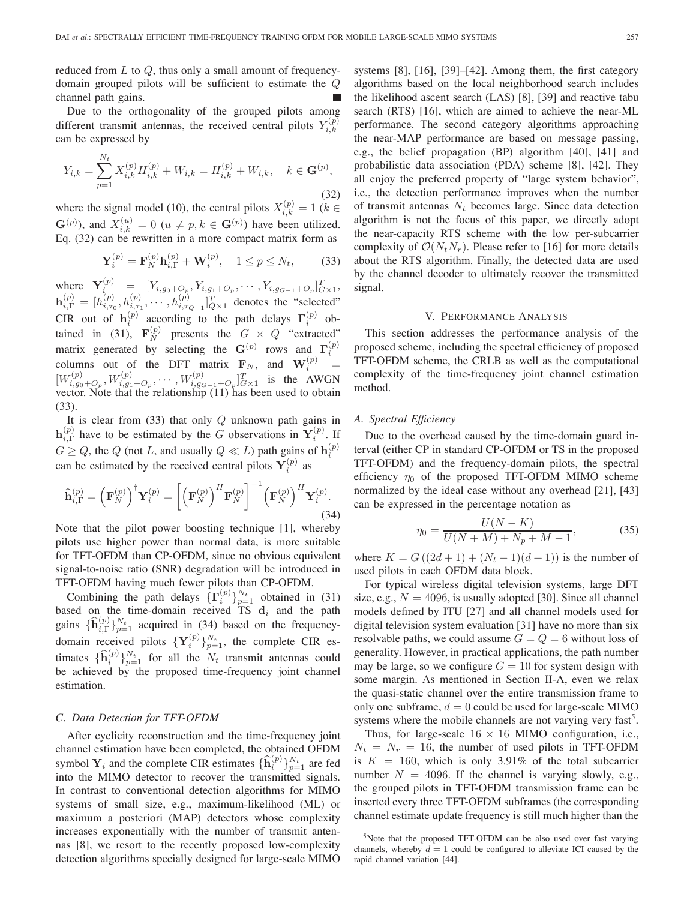reduced from  $L$  to  $Q$ , thus only a small amount of frequencydomain grouped pilots will be sufficient to estimate the Q channel path gains.

Due to the orthogonality of the grouped pilots among different transmit antennas, the received central pilots  $Y_{i,k}^{(p)}$ can be expressed by

$$
Y_{i,k} = \sum_{p=1}^{N_t} X_{i,k}^{(p)} H_{i,k}^{(p)} + W_{i,k} = H_{i,k}^{(p)} + W_{i,k}, \quad k \in \mathbf{G}^{(p)},
$$
\n(32)

where the signal model (10), the central pilots  $X_{i,k}^{(p)} = 1$  ( $k \in$   $G^{(p)}$ ),  $k \in G^{(p)}$ ,  $k \in G^{(p)}$ ,  $k \in G^{(p)}$ ,  $k \in G^{(p)}$ ,  $k \in G^{(p)}$ ,  $k \in G^{(p)}$ ,  $k \in G^{(p)}$ ,  $k \in G^{(p)}$ ,  $k \in G^{(p)}$ ,  $k \in G^{(p)}$ ,  $k \in G^{(p)}$ ,  $k \in G^{(p)}$  $\mathbf{G}^{(p)}$ ), and  $X_{i,k}^{(u)} = 0$  ( $u \neq p, k \in \mathbf{G}^{(p)}$ ) have been utilized.<br>Eq. (32) can be rewritten in a more compact matrix form as Eq. (32) can be rewritten in a more compact matrix form as

$$
\mathbf{Y}_i^{(p)} = \mathbf{F}_N^{(p)} \mathbf{h}_{i,\Gamma}^{(p)} + \mathbf{W}_i^{(p)}, \quad 1 \le p \le N_t,
$$
 (33)

where  $\mathbf{Y}_i^{(p)} = [Y_{i,g_0+Q_p}, Y_{i,g_1+Q_p}, \cdots, Y_{i,g_{G-1}+Q_p}]_{G\times 1}^T,$ <br>  $\mathbf{h}_{i,\Gamma}^{(p)} = [h_{i,\tau_0}^{(p)}, h_{i,\tau_1}^{(p)}, \cdots, h_{i,\tau_{Q-1}}^{(p)}]_{Q\times 1}^T$  denotes the "selected"<br>
CIR out of  $\mathbf{h}_i^{(p)}$  according to the path delays  $\$ matrix generated by selecting the  $\mathbf{G}^{(p)}$  rows and  $\mathbf{\Gamma}_i^{(p)}$ columns out of the DFT matrix  $\mathbf{F}_N$ , and  $\mathbf{W}_i^{(p)}$ <br> $\mathbf{W}_i^{(p)}$ columns out of the DFT matrix  $\mathbf{F}_N$ , and  $\mathbf{W}_{i}^{(p)} = [W_{i,g_0+O_p}^{(p)}, W_{i,g_1+O_p}^{(p)}, \cdots, W_{i,g_{G-1}+O_p}^{(p)}]_{G\times 1}^T$  is the AWGN vector. Note that the relationship (11) has been used to obtain (33).

It is clear from  $(33)$  that only  $Q$  unknown path gains in  $h_{i,\Gamma}^{(p)}$  have to be estimated by the G observations in  $Y_i^{(p)}$ . If  $G \geq Q$ , the Q (not L, and usually  $Q \ll L$ ) path gains of  $h_i^{(p)}$ can be estimated by the received central pilots  $Y_i^{(p)}$  as

$$
\widehat{\mathbf{h}}_{i,\Gamma}^{(p)} = \left(\mathbf{F}_N^{(p)}\right)^{\dagger} \mathbf{Y}_i^{(p)} = \left[\left(\mathbf{F}_N^{(p)}\right)^H \mathbf{F}_N^{(p)}\right]^{-1} \left(\mathbf{F}_N^{(p)}\right)^H \mathbf{Y}_i^{(p)}.
$$
\n(34)

Note that the pilot power boosting technique [1], whereby pilots use higher power than normal data, is more suitable for TFT-OFDM than CP-OFDM, since no obvious equivalent signal-to-noise ratio (SNR) degradation will be introduced in TFT-OFDM having much fewer pilots than CP-OFDM.

Combining the path delays  ${\{\Gamma_i^{(p)}\}}_{p=1}^{N_t}$  obtained in (31) based on the time-domain received TS  $\mathbf{d}_i$  and the path gains  $\{\widehat{\mathbf{h}}_{i,\Gamma}^{(p)}\}_{p=1}^{N_t}$  acquired in (34) based on the frequencydomain received pilots  $\{Y_i^{(p)}\}_{p=1}^{N_t}$ , the complete CIR estimates  $\{\hat{\mathbf{h}}_i^{(p)}\}_{p=1}^{N_t}$  for all the  $N_t$  transmit antennas could<br>be achieved by the proposed time-frequency joint channel be achieved by the proposed time-frequency joint channel estimation.

#### *C. Data Detection for TFT-OFDM*

After cyclicity reconstruction and the time-frequency joint channel estimation have been completed, the obtained OFDM symbol  $Y_i$  and the complete CIR estimates  $\{\widehat{\mathbf{h}}_i^{(p)}\}_{p=1}^{N_t}$  are fed<br>into the MIMO detector to recover the transmitted signals into the MIMO detector to recover the transmitted signals. In contrast to conventional detection algorithms for MIMO systems of small size, e.g., maximum-likelihood (ML) or maximum a posteriori (MAP) detectors whose complexity increases exponentially with the number of transmit antennas [8], we resort to the recently proposed low-complexity detection algorithms specially designed for large-scale MIMO

systems [8], [16], [39]–[42]. Among them, the first category algorithms based on the local neighborhood search includes the likelihood ascent search (LAS) [8], [39] and reactive tabu search (RTS) [16], which are aimed to achieve the near-ML performance. The second category algorithms approaching the near-MAP performance are based on message passing, e.g., the belief propagation (BP) algorithm [40], [41] and probabilistic data association (PDA) scheme [8], [42]. They all enjoy the preferred property of "large system behavior", i.e., the detection performance improves when the number of transmit antennas  $N_t$  becomes large. Since data detection algorithm is not the focus of this paper, we directly adopt the near-capacity RTS scheme with the low per-subcarrier complexity of  $\mathcal{O}(N_tN_r)$ . Please refer to [16] for more details about the RTS algorithm. Finally, the detected data are used by the channel decoder to ultimately recover the transmitted signal.

#### V. PERFORMANCE ANALYSIS

This section addresses the performance analysis of the proposed scheme, including the spectral efficiency of proposed TFT-OFDM scheme, the CRLB as well as the computational complexity of the time-frequency joint channel estimation method.

#### *A. Spectral Efficiency*

Due to the overhead caused by the time-domain guard interval (either CP in standard CP-OFDM or TS in the proposed TFT-OFDM) and the frequency-domain pilots, the spectral efficiency  $\eta_0$  of the proposed TFT-OFDM MIMO scheme normalized by the ideal case without any overhead [21], [43] can be expressed in the percentage notation as

$$
\eta_0 = \frac{U(N - K)}{U(N + M) + N_p + M - 1},\tag{35}
$$

where  $K = G((2d + 1) + (N_t - 1)(d + 1))$  is the number of used pilots in each OFDM data block.

For typical wireless digital television systems, large DFT size, e.g.,  $N = 4096$ , is usually adopted [30]. Since all channel models defined by ITU [27] and all channel models used for digital television system evaluation [31] have no more than six resolvable paths, we could assume  $G = Q = 6$  without loss of generality. However, in practical applications, the path number may be large, so we configure  $G = 10$  for system design with some margin. As mentioned in Section II-A, even we relax the quasi-static channel over the entire transmission frame to only one subframe,  $d = 0$  could be used for large-scale MIMO systems where the mobile channels are not varying very fast<sup>5</sup>.

Thus, for large-scale  $16 \times 16$  MIMO configuration, i.e.,  $N_t = N_r = 16$ , the number of used pilots in TFT-OFDM is  $K = 160$ , which is only 3.91% of the total subcarrier number  $N = 4096$ . If the channel is varying slowly, e.g., the grouped pilots in TFT-OFDM transmission frame can be inserted every three TFT-OFDM subframes (the corresponding channel estimate update frequency is still much higher than the

<sup>&</sup>lt;sup>5</sup>Note that the proposed TFT-OFDM can be also used over fast varying channels, whereby  $d = 1$  could be configured to alleviate ICI caused by the rapid channel variation [44].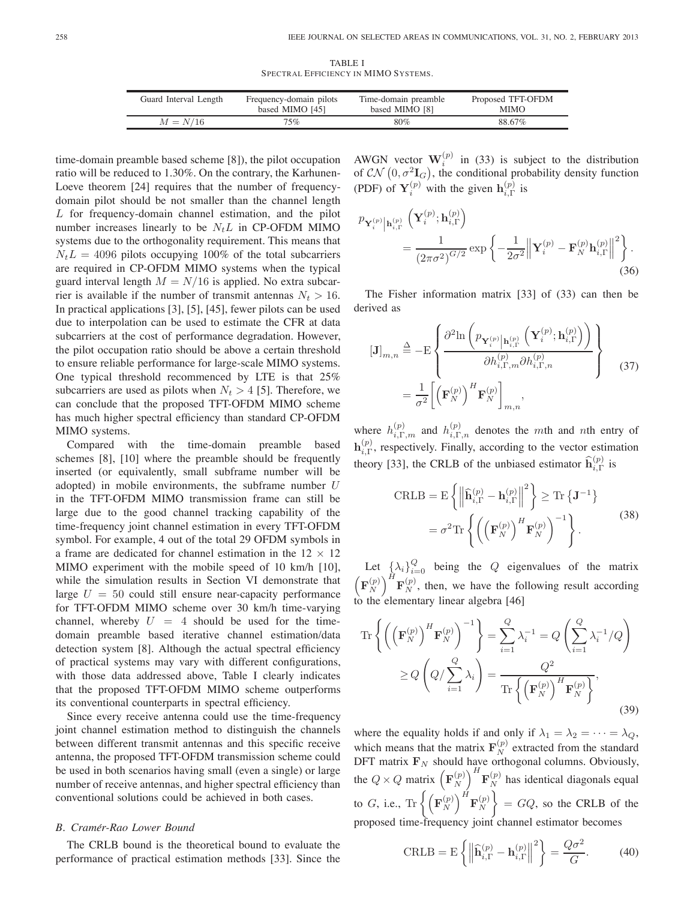TABLE I SPECTRAL EFFICIENCY IN MIMO SYSTEMS.

| Guard Interval Length | Frequency-domain pilots | Time-domain preamble | Proposed TFT-OFDM |
|-----------------------|-------------------------|----------------------|-------------------|
|                       | based MIMO [45]         | based MIMO [8]       | <b>MIMO</b>       |
| $M = N/16$            | $75\%$                  | 80%                  | 88.67%            |

time-domain preamble based scheme [8]), the pilot occupation ratio will be reduced to 1.30%. On the contrary, the Karhunen-Loeve theorem [24] requires that the number of frequencydomain pilot should be not smaller than the channel length L for frequency-domain channel estimation, and the pilot number increases linearly to be  $N<sub>t</sub>L$  in CP-OFDM MIMO systems due to the orthogonality requirement. This means that  $N_tL = 4096$  pilots occupying 100% of the total subcarriers are required in CP-OFDM MIMO systems when the typical guard interval length  $M = N/16$  is applied. No extra subcarrier is available if the number of transmit antennas  $N_t > 16$ . In practical applications [3], [5], [45], fewer pilots can be used due to interpolation can be used to estimate the CFR at data subcarriers at the cost of performance degradation. However, the pilot occupation ratio should be above a certain threshold to ensure reliable performance for large-scale MIMO systems. One typical threshold recommenced by LTE is that 25% subcarriers are used as pilots when  $N_t > 4$  [5]. Therefore, we can conclude that the proposed TFT-OFDM MIMO scheme has much higher spectral efficiency than standard CP-OFDM MIMO systems.

Compared with the time-domain preamble based schemes [8], [10] where the preamble should be frequently inserted (or equivalently, small subframe number will be adopted) in mobile environments, the subframe number  $U$ in the TFT-OFDM MIMO transmission frame can still be large due to the good channel tracking capability of the time-frequency joint channel estimation in every TFT-OFDM symbol. For example, 4 out of the total 29 OFDM symbols in a frame are dedicated for channel estimation in the  $12 \times 12$ MIMO experiment with the mobile speed of 10 km/h [10], while the simulation results in Section VI demonstrate that large  $U = 50$  could still ensure near-capacity performance for TFT-OFDM MIMO scheme over 30 km/h time-varying channel, whereby  $U = 4$  should be used for the timedomain preamble based iterative channel estimation/data detection system [8]. Although the actual spectral efficiency of practical systems may vary with different configurations, with those data addressed above, Table I clearly indicates that the proposed TFT-OFDM MIMO scheme outperforms its conventional counterparts in spectral efficiency.

Since every receive antenna could use the time-frequency joint channel estimation method to distinguish the channels between different transmit antennas and this specific receive antenna, the proposed TFT-OFDM transmission scheme could be used in both scenarios having small (even a single) or large number of receive antennas, and higher spectral efficiency than conventional solutions could be achieved in both cases.

# *B. Cramer-Rao Lower Bound ´*

The CRLB bound is the theoretical bound to evaluate the performance of practical estimation methods [33]. Since the AWGN vector  $\mathbf{W}_i^{(p)}$  in (33) is subject to the distribution AWGN vector  $\mathbf{W}_{i}^{(\nu)}$  in (33) is subject to the distribution<br>of  $CN(0, \sigma^{2}\mathbf{I}_{G})$ , the conditional probability density function (PDF) of  $Y_i^{(p)}$  with the given  $\mathbf{h}_{i,\Gamma}^{(p)}$  is

$$
\begin{split} \mathcal{P}_{\mathbf{Y}_{i}^{(p)}}\Big|\mathbf{h}_{i,\Gamma}^{(p)}\left(\mathbf{Y}_{i}^{(p)};\mathbf{h}_{i,\Gamma}^{(p)}\right) \\ &= \frac{1}{(2\pi\sigma^2)^{G/2}}\exp\left\{-\frac{1}{2\sigma^2}\Big\|\mathbf{Y}_{i}^{(p)} - \mathbf{F}_{N}^{(p)}\mathbf{h}_{i,\Gamma}^{(p)}\Big\|^{2}\right\}. \end{split} \tag{36}
$$

The Fisher information matrix [33] of (33) can then be derived as

$$
\begin{aligned}\n\left[\mathbf{J}\right]_{m,n} &\stackrel{\Delta}{=} -\mathrm{E}\left\{\frac{\partial^2 \mathrm{ln}\left(p_{\mathbf{Y}_i^{(p)}}\Big|\mathbf{h}_{i,\Gamma}^{(p)}\left(\mathbf{Y}_i^{(p)};\mathbf{h}_{i,\Gamma}^{(p)}\right)\right)}{\partial h_{i,\Gamma,m}^{(p)}\partial h_{i,\Gamma,n}^{(p)}}\right\} \\
&= \frac{1}{\sigma^2} \Bigg[\left(\mathbf{F}_N^{(p)}\right)^H \mathbf{F}_N^{(p)}\Bigg]_{m,n},\n\end{aligned} \tag{37}
$$

where  $h_{i,\Gamma,m}^{(p)}$  and  $h_{i,\Gamma,n}^{(p)}$  denotes the mth and nth entry of  $\mathbf{h}_{i,\Gamma}^{(p)}$ , respectively. Finally, according to the vector estimation theory [33], the CRLB of the unbiased estimator  $\hat{\mathbf{h}}_{i,\Gamma}^{(p)}$  is

$$
\text{CRLB} = \mathbf{E} \left\{ \left\| \widehat{\mathbf{h}}_{i,\Gamma}^{(p)} - \mathbf{h}_{i,\Gamma}^{(p)} \right\|^2 \right\} \geq \text{Tr} \left\{ \mathbf{J}^{-1} \right\}
$$

$$
= \sigma^2 \text{Tr} \left\{ \left( \left( \mathbf{F}_N^{(p)} \right)^H \mathbf{F}_N^{(p)} \right)^{-1} \right\}. \tag{38}
$$

Let  $\{\lambda_i\}_{i=0}^Q$  being the Q eigenvalues of the matrix  $\left(\mathbf{F}_N^{(p)}\right)^H \mathbf{F}_N^{(p)}$ , then, we have the following result according to the elementary linear algebra [46]

$$
\operatorname{Tr}\left\{ \left( \left( \mathbf{F}_{N}^{(p)} \right)^{H} \mathbf{F}_{N}^{(p)} \right)^{-1} \right\} = \sum_{i=1}^{Q} \lambda_{i}^{-1} = Q \left( \sum_{i=1}^{Q} \lambda_{i}^{-1} / Q \right)
$$

$$
\geq Q \left( Q / \sum_{i=1}^{Q} \lambda_{i} \right) = \frac{Q^{2}}{\operatorname{Tr}\left\{ \left( \mathbf{F}_{N}^{(p)} \right)^{H} \mathbf{F}_{N}^{(p)} \right\}},\tag{39}
$$

where the equality holds if and only if  $\lambda_1 = \lambda_2 = \cdots = \lambda_Q$ , which means that the matrix  $\mathbf{F}_{N}^{(p)}$  extracted from the standard DET matrix  $\mathbf{F}_{N}$  should have orthogonal columns. Obviously DFT matrix  $\mathbf{F}_N$  should have orthogonal columns. Obviously, the  $Q \times Q$  matrix  $\left(\mathbf{F}_N^{(p)}\right)$  $\int_{I}^{I} \mathbf{F}_{N}^{(p)}$  has identical diagonals equal to G, i.e.,  $\text{Tr} \left\{ \left( \mathbf{F}_N^{(p)} \right) \right\}$  $\Big)^H \mathbf{F}_N^{(p)}$  $\Big\} = GQ$ , so the CRLB of the proposed time-frequency joint channel estimator becomes

$$
\text{CRLB} = \mathcal{E}\left\{ \left\| \widehat{\mathbf{h}}_{i,\Gamma}^{(p)} - \mathbf{h}_{i,\Gamma}^{(p)} \right\|^2 \right\} = \frac{Q\sigma^2}{G}.
$$
 (40)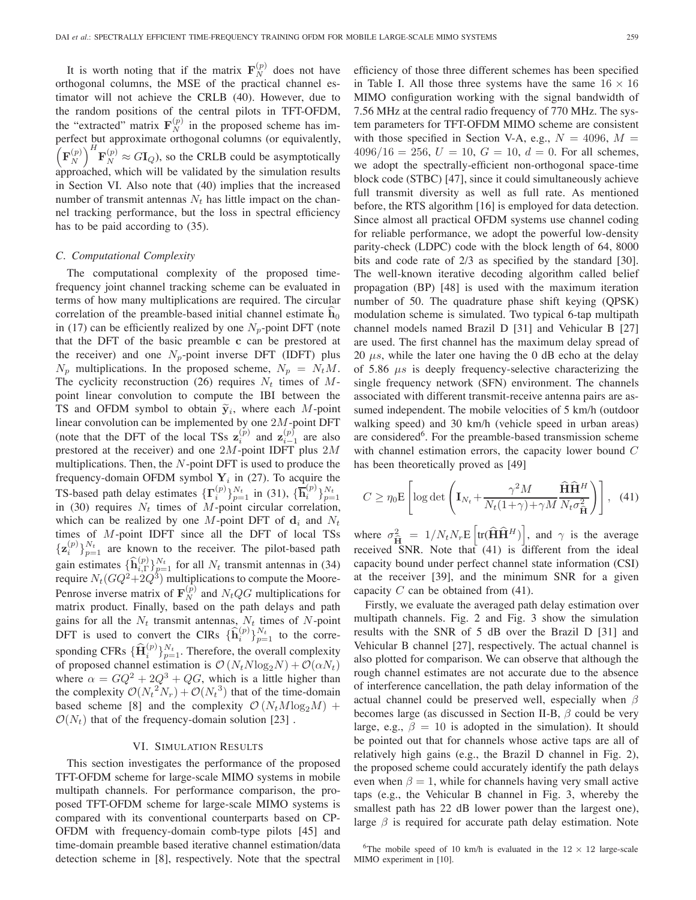It is worth noting that if the matrix  $\mathbf{F}_{N}^{(p)}$  does not have<br>thogonal columns, the MSE of the practical channel esorthogonal columns, the MSE of the practical channel estimator will not achieve the CRLB (40). However, due to the random positions of the central pilots in TFT-OFDM, the "extracted" matrix  $\mathbf{F}_N^{(p)}$  in the proposed scheme has imperfect but approximate orthogonal columns (or equivalently,  $\left(\mathbf{F}_N^{(p)}\right)^{T} \mathbf{F}_N^{(p)} \approx G\mathbf{I}_Q$ , so the CRLB could be asymptotically approached, which will be validated by the simulation results in Section VI. Also note that (40) implies that the increased number of transmit antennas  $N_t$  has little impact on the channel tracking performance, but the loss in spectral efficiency has to be paid according to (35).

# *C. Computational Complexity*

The computational complexity of the proposed timefrequency joint channel tracking scheme can be evaluated in terms of how many multiplications are required. The circular correlation of the preamble-based initial channel estimate  $\hat{h}_0$ in (17) can be efficiently realized by one  $N_p$ -point DFT (note that the DFT of the basic preamble **c** can be prestored at the receiver) and one  $N_p$ -point inverse DFT (IDFT) plus  $N_p$  multiplications. In the proposed scheme,  $N_p = N_t M$ . The cyclicity reconstruction (26) requires  $N_t$  times of  $M$ point linear convolution to compute the IBI between the TS and OFDM symbol to obtain  $\tilde{y}_i$ , where each M-point linear convolution can be implemented by one 2M-point DFT (note that the DFT of the local TSs  $\mathbf{z}_i^{(p)}$  and  $\mathbf{z}_{i-1}^{(p)}$  are also prestored at the receiver) and one  $2M$ -point IDFT plus  $2M$ prestored at the receiver) and one 2M-point IDFT plus 2M multiplications. Then, the  $N$ -point DFT is used to produce the frequency-domain OFDM symbol  $Y_i$  in (27). To acquire the TS-based path delay estimates  $\{\Gamma_i^{(p)}\}_{p=1}^{N_t}$  in (31),  $\{\overline{\mathbf{h}}_i^{(p)}\}_{p=1}^{N_t}$ <br>in (30) requires N<sub>t</sub> times of M<sub>-</sub>point circular correlation is-based pain delay estimates  $\mathbf{1}^T_i$   $f_{p=1}$  in (31),  $\mathbf{1}^T_i$   $f_{p=1}$ <br>in (30) requires  $N_t$  times of M-point circular correlation, which can be realized by one  $M$ -point DFT of  $\mathbf{d}_i$  and  $N_t$ times of M-point IDFT since all the DFT of local TSs  ${\bf z}_i^{(p)}\}_{p=1}^{N_t}$  are known to the receiver. The pilot-based path gain estimates  ${\hat{\mathbf{h}}}_{i,\Gamma}^{(p)}\}_{p=1}^{N_t}$  for all  $N_t$  transmit antennas in (34)<br>require  $N_r$  (*CO*<sup>2</sup>+2*O*<sup>3</sup>) multiplications to compute the Moore require  $N_t(GQ^2+2Q^3)$  multiplications to compute the Moore-Penrose inverse matrix of  $\mathbf{F}_{N}^{(p)}$  and  $N_tQG$  multiplications for matrix product. Finally, based on the path delays and path matrix product. Finally, based on the path delays and path gains for all the  $N_t$  transmit antennas,  $N_t$  times of N-point<br>DET is used to accurat the CIDs  $(\hat{\mathbf{L}}^{(p)})_{N_t}$  to the accura DFT is used to convert the CIRs  ${\{\hat{\mathbf{h}}_i^{(p)}\}}_{p=1}^{N_t}$  to the corresponding CFRs  $\{\widehat{\mathbf{H}}_i^{(p)}\}_{p=1}^{N_t}$ . Therefore, the overall complexity<br>of proposed channel estimation is  $\mathcal{O}(N_t N \log N) + \mathcal{O}(\alpha N_t)$ . of proposed channel estimation is  $\mathcal{O}(N_t N \log_2 N) + \mathcal{O}(\alpha N_t)$ where  $\alpha = GQ^2 + 2Q^3 + QG$ , which is a little higher than the complexity  $\mathcal{O}(N_t^2 N_r) + \mathcal{O}(N_t^3)$  that of the time-domain<br>based scheme [8] and the complexity  $\mathcal{O}(N_t M \log M)$ based scheme [8] and the complexity  $\mathcal{O}(N_t M \log_2 M)$  +  $\mathcal{O}(N_t)$  that of the frequency-domain solution [23].

#### VI. SIMULATION RESULTS

This section investigates the performance of the proposed TFT-OFDM scheme for large-scale MIMO systems in mobile multipath channels. For performance comparison, the proposed TFT-OFDM scheme for large-scale MIMO systems is compared with its conventional counterparts based on CP-OFDM with frequency-domain comb-type pilots [45] and time-domain preamble based iterative channel estimation/data detection scheme in [8], respectively. Note that the spectral efficiency of those three different schemes has been specified in Table I. All those three systems have the same  $16 \times 16$ MIMO configuration working with the signal bandwidth of 7.56 MHz at the central radio frequency of 770 MHz. The system parameters for TFT-OFDM MIMO scheme are consistent with those specified in Section V-A, e.g.,  $N = 4096$ ,  $M =$  $4096/16 = 256$ ,  $U = 10$ ,  $G = 10$ ,  $d = 0$ . For all schemes, we adopt the spectrally-efficient non-orthogonal space-time block code (STBC) [47], since it could simultaneously achieve full transmit diversity as well as full rate. As mentioned before, the RTS algorithm [16] is employed for data detection. Since almost all practical OFDM systems use channel coding for reliable performance, we adopt the powerful low-density parity-check (LDPC) code with the block length of 64, 8000 bits and code rate of 2/3 as specified by the standard [30]. The well-known iterative decoding algorithm called belief propagation (BP) [48] is used with the maximum iteration number of 50. The quadrature phase shift keying (QPSK) modulation scheme is simulated. Two typical 6-tap multipath channel models named Brazil D [31] and Vehicular B [27] are used. The first channel has the maximum delay spread of 20  $\mu s$ , while the later one having the 0 dB echo at the delay of 5.86  $\mu s$  is deeply frequency-selective characterizing the single frequency network (SFN) environment. The channels associated with different transmit-receive antenna pairs are assumed independent. The mobile velocities of 5 km/h (outdoor walking speed) and 30 km/h (vehicle speed in urban areas) are considered<sup>6</sup>. For the preamble-based transmission scheme with channel estimation errors, the capacity lower bound  $C$ has been theoretically proved as [49]

$$
C \ge \eta_0 \mathbf{E} \left[ \log \det \left( \mathbf{I}_{N_t} + \frac{\gamma^2 M}{N_t (1 + \gamma) + \gamma M} \frac{\widehat{\mathbf{H}} \widehat{\mathbf{H}}^H}{N_t \sigma_{\widehat{\mathbf{H}}}^2} \right) \right], \quad (41)
$$

where  $\sigma_{\hat{H}}^2 = 1/N_tN_rE\left[\text{tr}(\hat{H}\hat{H}^H)\right]$ , and  $\gamma$  is the average received SNR. Note that (41) is different from the ideal capacity bound under perfect channel state information (CSI) at the receiver [39], and the minimum SNR for a given capacity  $C$  can be obtained from (41).

Firstly, we evaluate the averaged path delay estimation over multipath channels. Fig. 2 and Fig. 3 show the simulation results with the SNR of 5 dB over the Brazil D [31] and Vehicular B channel [27], respectively. The actual channel is also plotted for comparison. We can observe that although the rough channel estimates are not accurate due to the absence of interference cancellation, the path delay information of the actual channel could be preserved well, especially when  $\beta$ becomes large (as discussed in Section II-B,  $\beta$  could be very large, e.g.,  $\beta = 10$  is adopted in the simulation). It should be pointed out that for channels whose active taps are all of relatively high gains (e.g., the Brazil D channel in Fig. 2), the proposed scheme could accurately identify the path delays even when  $\beta = 1$ , while for channels having very small active taps (e.g., the Vehicular B channel in Fig. 3, whereby the smallest path has 22 dB lower power than the largest one), large  $\beta$  is required for accurate path delay estimation. Note

<sup>6</sup>The mobile speed of 10 km/h is evaluated in the  $12 \times 12$  large-scale MIMO experiment in [10].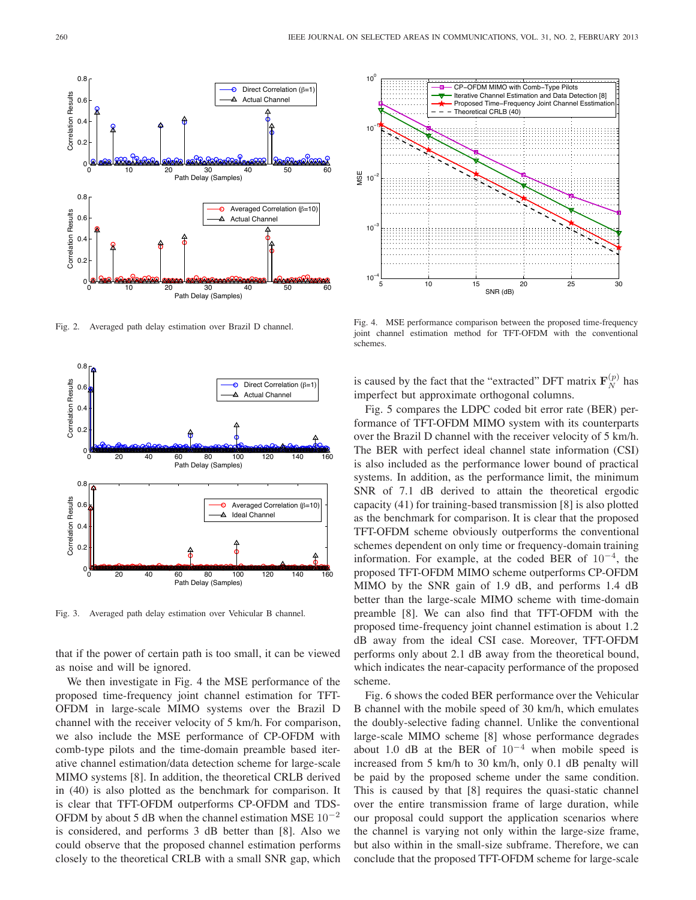

Fig. 2. Averaged path delay estimation over Brazil D channel.



Fig. 3. Averaged path delay estimation over Vehicular B channel.

that if the power of certain path is too small, it can be viewed as noise and will be ignored.

We then investigate in Fig. 4 the MSE performance of the proposed time-frequency joint channel estimation for TFT-OFDM in large-scale MIMO systems over the Brazil D channel with the receiver velocity of 5 km/h. For comparison, we also include the MSE performance of CP-OFDM with comb-type pilots and the time-domain preamble based iterative channel estimation/data detection scheme for large-scale MIMO systems [8]. In addition, the theoretical CRLB derived in (40) is also plotted as the benchmark for comparison. It is clear that TFT-OFDM outperforms CP-OFDM and TDS-OFDM by about 5 dB when the channel estimation MSE  $10^{-2}$ is considered, and performs 3 dB better than [8]. Also we could observe that the proposed channel estimation performs closely to the theoretical CRLB with a small SNR gap, which



Fig. 4. MSE performance comparison between the proposed time-frequency joint channel estimation method for TFT-OFDM with the conventional schemes.

is caused by the fact that the "extracted" DFT matrix  $\mathbf{F}_N^{(p)}$  has imperfect but approximate orthogonal columns imperfect but approximate orthogonal columns.

Fig. 5 compares the LDPC coded bit error rate (BER) performance of TFT-OFDM MIMO system with its counterparts over the Brazil D channel with the receiver velocity of 5 km/h. The BER with perfect ideal channel state information (CSI) is also included as the performance lower bound of practical systems. In addition, as the performance limit, the minimum SNR of 7.1 dB derived to attain the theoretical ergodic capacity (41) for training-based transmission [8] is also plotted as the benchmark for comparison. It is clear that the proposed TFT-OFDM scheme obviously outperforms the conventional schemes dependent on only time or frequency-domain training information. For example, at the coded BER of  $10^{-4}$ , the proposed TFT-OFDM MIMO scheme outperforms CP-OFDM MIMO by the SNR gain of 1.9 dB, and performs 1.4 dB better than the large-scale MIMO scheme with time-domain preamble [8]. We can also find that TFT-OFDM with the proposed time-frequency joint channel estimation is about 1.2 dB away from the ideal CSI case. Moreover, TFT-OFDM performs only about 2.1 dB away from the theoretical bound, which indicates the near-capacity performance of the proposed scheme.

Fig. 6 shows the coded BER performance over the Vehicular B channel with the mobile speed of 30 km/h, which emulates the doubly-selective fading channel. Unlike the conventional large-scale MIMO scheme [8] whose performance degrades about 1.0 dB at the BER of  $10^{-4}$  when mobile speed is increased from 5 km/h to 30 km/h, only 0.1 dB penalty will be paid by the proposed scheme under the same condition. This is caused by that [8] requires the quasi-static channel over the entire transmission frame of large duration, while our proposal could support the application scenarios where the channel is varying not only within the large-size frame, but also within in the small-size subframe. Therefore, we can conclude that the proposed TFT-OFDM scheme for large-scale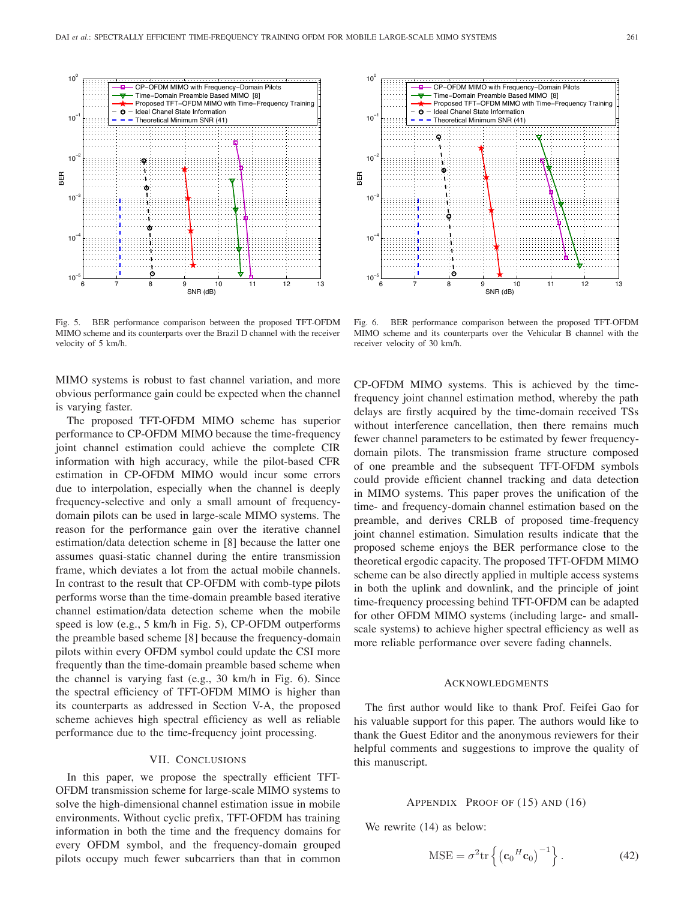

Fig. 5. BER performance comparison between the proposed TFT-OFDM MIMO scheme and its counterparts over the Brazil D channel with the receiver velocity of 5 km/h.

MIMO systems is robust to fast channel variation, and more obvious performance gain could be expected when the channel is varying faster.

The proposed TFT-OFDM MIMO scheme has superior performance to CP-OFDM MIMO because the time-frequency joint channel estimation could achieve the complete CIR information with high accuracy, while the pilot-based CFR estimation in CP-OFDM MIMO would incur some errors due to interpolation, especially when the channel is deeply frequency-selective and only a small amount of frequencydomain pilots can be used in large-scale MIMO systems. The reason for the performance gain over the iterative channel estimation/data detection scheme in [8] because the latter one assumes quasi-static channel during the entire transmission frame, which deviates a lot from the actual mobile channels. In contrast to the result that CP-OFDM with comb-type pilots performs worse than the time-domain preamble based iterative channel estimation/data detection scheme when the mobile speed is low (e.g., 5 km/h in Fig. 5), CP-OFDM outperforms the preamble based scheme [8] because the frequency-domain pilots within every OFDM symbol could update the CSI more frequently than the time-domain preamble based scheme when the channel is varying fast (e.g., 30 km/h in Fig. 6). Since the spectral efficiency of TFT-OFDM MIMO is higher than its counterparts as addressed in Section V-A, the proposed scheme achieves high spectral efficiency as well as reliable performance due to the time-frequency joint processing.

#### VII. CONCLUSIONS

In this paper, we propose the spectrally efficient TFT-OFDM transmission scheme for large-scale MIMO systems to solve the high-dimensional channel estimation issue in mobile environments. Without cyclic prefix, TFT-OFDM has training information in both the time and the frequency domains for every OFDM symbol, and the frequency-domain grouped pilots occupy much fewer subcarriers than that in common



Fig. 6. BER performance comparison between the proposed TFT-OFDM MIMO scheme and its counterparts over the Vehicular B channel with the receiver velocity of 30 km/h.

CP-OFDM MIMO systems. This is achieved by the timefrequency joint channel estimation method, whereby the path delays are firstly acquired by the time-domain received TSs without interference cancellation, then there remains much fewer channel parameters to be estimated by fewer frequencydomain pilots. The transmission frame structure composed of one preamble and the subsequent TFT-OFDM symbols could provide efficient channel tracking and data detection in MIMO systems. This paper proves the unification of the time- and frequency-domain channel estimation based on the preamble, and derives CRLB of proposed time-frequency joint channel estimation. Simulation results indicate that the proposed scheme enjoys the BER performance close to the theoretical ergodic capacity. The proposed TFT-OFDM MIMO scheme can be also directly applied in multiple access systems in both the uplink and downlink, and the principle of joint time-frequency processing behind TFT-OFDM can be adapted for other OFDM MIMO systems (including large- and smallscale systems) to achieve higher spectral efficiency as well as more reliable performance over severe fading channels.

#### **ACKNOWLEDGMENTS**

The first author would like to thank Prof. Feifei Gao for his valuable support for this paper. The authors would like to thank the Guest Editor and the anonymous reviewers for their helpful comments and suggestions to improve the quality of this manuscript.

#### APPENDIX PROOF OF (15) AND (16)

We rewrite  $(14)$  as below:

$$
MSE = \sigma^2 \text{tr}\left\{ \left( \mathbf{c}_0^H \mathbf{c}_0 \right)^{-1} \right\}. \tag{42}
$$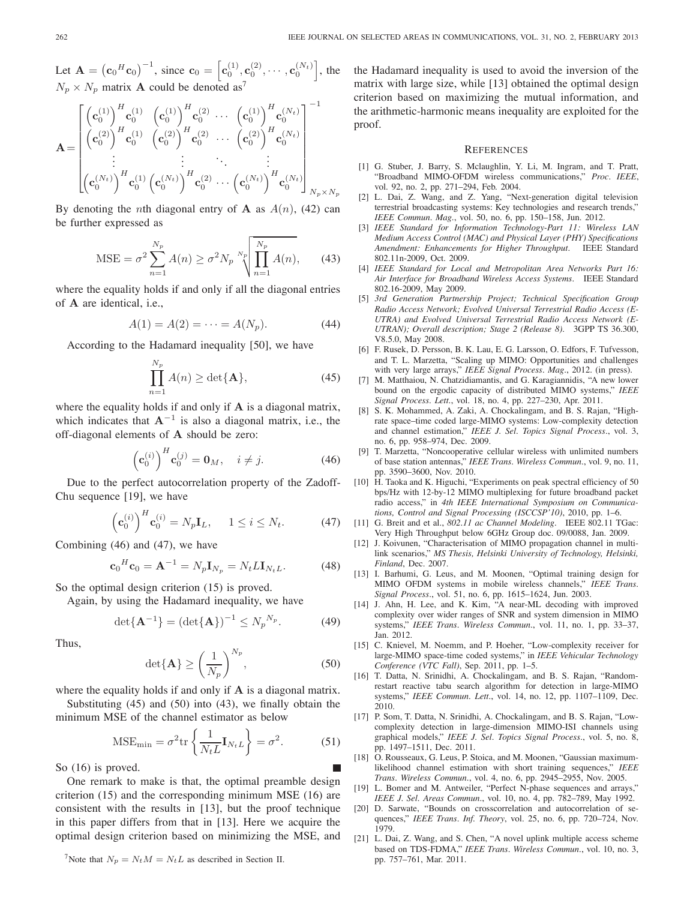Let  $\mathbf{A} = (\mathbf{c}_0^H \mathbf{c}_0)^{-1}$ , since  $\mathbf{c}_0 = [\mathbf{c}_0^{(1)}, \mathbf{c}_0^{(2)}, \cdots, \mathbf{c}_0^{(N_t)}]$ , the  $N_p \times N_p$  matrix **A** could be denoted as<sup>7</sup>

$$
\mathbf{A} = \begin{bmatrix}\n\left(\mathbf{c}_0^{(1)}\right)^H \mathbf{c}_0^{(1)} & \left(\mathbf{c}_0^{(1)}\right)^H \mathbf{c}_0^{(2)} & \cdots & \left(\mathbf{c}_0^{(1)}\right)^H \mathbf{c}_0^{(N_t)} \\
\left(\mathbf{c}_0^{(2)}\right)^H \mathbf{c}_0^{(1)} & \left(\mathbf{c}_0^{(2)}\right)^H \mathbf{c}_0^{(2)} & \cdots & \left(\mathbf{c}_0^{(2)}\right)^H \mathbf{c}_0^{(N_t)} \\
\vdots & \vdots & \ddots & \vdots \\
\left(\mathbf{c}_0^{(N_t)}\right)^H \mathbf{c}_0^{(1)} & \left(\mathbf{c}_0^{(N_t)}\right)^H \mathbf{c}_0^{(2)} & \cdots & \left(\mathbf{c}_0^{(N_t)}\right)^H \mathbf{c}_0^{(N_t)}\n\end{bmatrix}_{N_p \times N_p}
$$

By denoting the *n*th diagonal entry of **A** as  $A(n)$ , (42) can be further expressed as

MSE = 
$$
\sigma^2 \sum_{n=1}^{N_p} A(n) \ge \sigma^2 N_p \sqrt[N_p]{\prod_{n=1}^{N_p} A(n)},
$$
 (43)

where the equality holds if and only if all the diagonal entries of **A** are identical, i.e.,

$$
A(1) = A(2) = \dots = A(N_p).
$$
 (44)

According to the Hadamard inequality [50], we have

$$
\prod_{n=1}^{N_p} A(n) \ge \det{\mathbf{A}},\tag{45}
$$

where the equality holds if and only if **A** is a diagonal matrix, which indicates that  $A^{-1}$  is also a diagonal matrix, i.e., the off-diagonal elements of **A** should be zero:

$$
\left(\mathbf{c}_0^{(i)}\right)^H \mathbf{c}_0^{(j)} = \mathbf{0}_M, \quad i \neq j. \tag{46}
$$

Due to the perfect autocorrelation property of the Zadoff-Chu sequence [19], we have

$$
\left(\mathbf{c}_0^{(i)}\right)^H \mathbf{c}_0^{(i)} = N_p \mathbf{I}_L, \quad 1 \le i \le N_t. \tag{47}
$$

Combining (46) and (47), we have

$$
\mathbf{c}_0{}^H \mathbf{c}_0 = \mathbf{A}^{-1} = N_p \mathbf{I}_{N_p} = N_t L \mathbf{I}_{N_t L}.
$$
 (48)

So the optimal design criterion (15) is proved.

Again, by using the Hadamard inequality, we have

$$
\det{\{\mathbf{A}^{-1}\}} = (\det{\{\mathbf{A}\}})^{-1} \le N_p^{N_p}.
$$
 (49)

Thus,

$$
\det\{\mathbf{A}\} \ge \left(\frac{1}{N_p}\right)^{N_p},\tag{50}
$$

where the equality holds if and only if **A** is a diagonal matrix.

Substituting (45) and (50) into (43), we finally obtain the minimum MSE of the channel estimator as below

$$
\text{MSE}_{\text{min}} = \sigma^2 \text{tr}\left\{\frac{1}{N_t L} \mathbf{I}_{N_t L}\right\} = \sigma^2. \tag{51}
$$

So (16) is proved.

One remark to make is that, the optimal preamble design criterion (15) and the corresponding minimum MSE (16) are consistent with the results in [13], but the proof technique in this paper differs from that in [13]. Here we acquire the optimal design criterion based on minimizing the MSE, and

<sup>7</sup>Note that  $N_p = N_t M = N_t L$  as described in Section II.

the Hadamard inequality is used to avoid the inversion of the matrix with large size, while [13] obtained the optimal design criterion based on maximizing the mutual information, and the arithmetic-harmonic means inequality are exploited for the proof.

#### **REFERENCES**

- [1] G. Stuber, J. Barry, S. Mclaughlin, Y. Li, M. Ingram, and T. Pratt, "Broadband MIMO-OFDM wireless communications," *Proc. IEEE*, vol. 92, no. 2, pp. 271–294, Feb. 2004.
- [2] L. Dai, Z. Wang, and Z. Yang, "Next-generation digital television terrestrial broadcasting systems: Key technologies and research trends," *IEEE Commun. Mag.*, vol. 50, no. 6, pp. 150–158, Jun. 2012.
- [3] *IEEE Standard for Information Technology-Part 11: Wireless LAN Medium Access Control (MAC) and Physical Layer (PHY) Specifications Amendment: Enhancements for Higher Throughput*. IEEE Standard 802.11n-2009, Oct. 2009.
- [4] *IEEE Standard for Local and Metropolitan Area Networks Part 16: Air Interface for Broadband Wireless Access Systems*. IEEE Standard 802.16-2009, May 2009.
- [5] *3rd Generation Partnership Project; Technical Specification Group Radio Access Network; Evolved Universal Terrestrial Radio Access (E-UTRA) and Evolved Universal Terrestrial Radio Access Network (E-UTRAN); Overall description; Stage 2 (Release 8)*. 3GPP TS 36.300, V8.5.0, May 2008.
- [6] F. Rusek, D. Persson, B. K. Lau, E. G. Larsson, O. Edfors, F. Tufvesson, and T. L. Marzetta, "Scaling up MIMO: Opportunities and challenges with very large arrays," *IEEE Signal Process. Mag.*, 2012. (in press).
- [7] M. Matthaiou, N. Chatzidiamantis, and G. Karagiannidis, "A new lower bound on the ergodic capacity of distributed MIMO systems," *IEEE Signal Process. Lett.*, vol. 18, no. 4, pp. 227–230, Apr. 2011.
- [8] S. K. Mohammed, A. Zaki, A. Chockalingam, and B. S. Rajan, "Highrate space–time coded large-MIMO systems: Low-complexity detection and channel estimation," *IEEE J. Sel. Topics Signal Process.*, vol. 3, no. 6, pp. 958–974, Dec. 2009.
- [9] T. Marzetta, "Noncooperative cellular wireless with unlimited numbers of base station antennas," *IEEE Trans. Wireless Commun.*, vol. 9, no. 11, pp. 3590–3600, Nov. 2010.
- [10] H. Taoka and K. Higuchi, "Experiments on peak spectral efficiency of 50 bps/Hz with 12-by-12 MIMO multiplexing for future broadband packet radio access," in *4th IEEE International Symposium on Communications, Control and Signal Processing (ISCCSP'10)*, 2010, pp. 1–6.
- [11] G. Breit and et al., *802.11 ac Channel Modeling*. IEEE 802.11 TGac: Very High Throughput below 6GHz Group doc. 09/0088, Jan. 2009.
- [12] J. Koivunen, "Characterisation of MIMO propagation channel in multilink scenarios," *MS Thesis, Helsinki University of Technology, Helsinki, Finland*, Dec. 2007.
- [13] I. Barhumi, G. Leus, and M. Moonen, "Optimal training design for MIMO OFDM systems in mobile wireless channels," *IEEE Trans. Signal Process.*, vol. 51, no. 6, pp. 1615–1624, Jun. 2003.
- [14] J. Ahn, H. Lee, and K. Kim, "A near-ML decoding with improved complexity over wider ranges of SNR and system dimension in MIMO systems," *IEEE Trans. Wireless Commun.*, vol. 11, no. 1, pp. 33–37, Jan. 2012.
- [15] C. Knievel, M. Noemm, and P. Hoeher, "Low-complexity receiver for large-MIMO space-time coded systems," in *IEEE Vehicular Technology Conference (VTC Fall)*, Sep. 2011, pp. 1–5.
- [16] T. Datta, N. Srinidhi, A. Chockalingam, and B. S. Rajan, "Randomrestart reactive tabu search algorithm for detection in large-MIMO systems," *IEEE Commun. Lett.*, vol. 14, no. 12, pp. 1107–1109, Dec. 2010.
- [17] P. Som, T. Datta, N. Srinidhi, A. Chockalingam, and B. S. Rajan, "Lowcomplexity detection in large-dimension MIMO-ISI channels using graphical models," *IEEE J. Sel. Topics Signal Process.*, vol. 5, no. 8, pp. 1497–1511, Dec. 2011.
- [18] O. Rousseaux, G. Leus, P. Stoica, and M. Moonen, "Gaussian maximumlikelihood channel estimation with short training sequences," *IEEE Trans. Wireless Commun.*, vol. 4, no. 6, pp. 2945–2955, Nov. 2005.
- [19] L. Bomer and M. Antweiler, "Perfect N-phase sequences and arrays," *IEEE J. Sel. Areas Commun.*, vol. 10, no. 4, pp. 782–789, May 1992.
- [20] D. Sarwate, "Bounds on crosscorrelation and autocorrelation of sequences," *IEEE Trans. Inf. Theory*, vol. 25, no. 6, pp. 720–724, Nov. 1979.
- [21] L. Dai, Z. Wang, and S. Chen, "A novel uplink multiple access scheme based on TDS-FDMA," *IEEE Trans. Wireless Commun.*, vol. 10, no. 3, pp. 757–761, Mar. 2011.